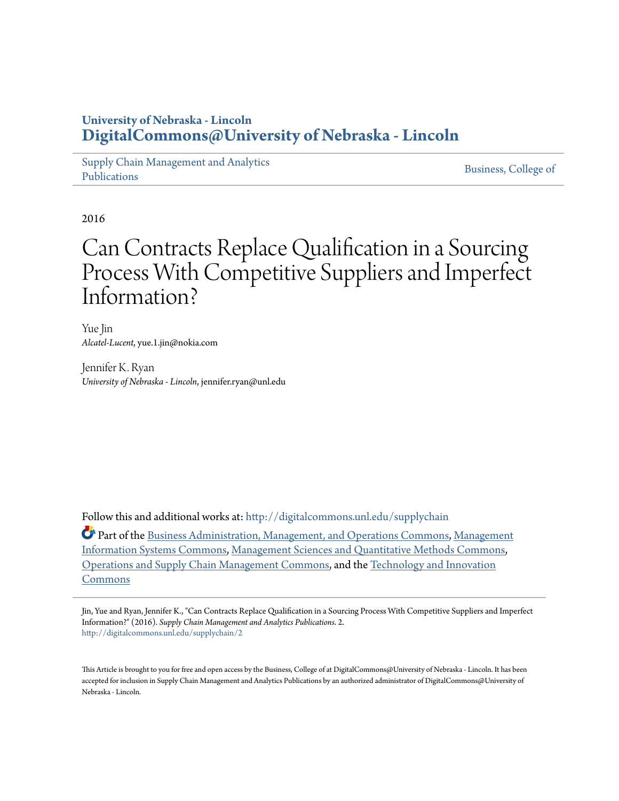### **University of Nebraska - Lincoln [DigitalCommons@University of Nebraska - Lincoln](http://digitalcommons.unl.edu?utm_source=digitalcommons.unl.edu%2Fsupplychain%2F2&utm_medium=PDF&utm_campaign=PDFCoverPages)**

[Supply Chain Management and Analytics](http://digitalcommons.unl.edu/supplychain?utm_source=digitalcommons.unl.edu%2Fsupplychain%2F2&utm_medium=PDF&utm_campaign=PDFCoverPages) [Publications](http://digitalcommons.unl.edu/supplychain?utm_source=digitalcommons.unl.edu%2Fsupplychain%2F2&utm_medium=PDF&utm_campaign=PDFCoverPages)

[Business, College of](http://digitalcommons.unl.edu/business?utm_source=digitalcommons.unl.edu%2Fsupplychain%2F2&utm_medium=PDF&utm_campaign=PDFCoverPages)

2016

## Can Contracts Replace Qualification in a Sourcing Process With Competitive Suppliers and Imperfect Information?

Yue Jin *Alcatel-Lucent*, yue.1.jin@nokia.com

Jennifer K. Ryan *University of Nebraska - Lincoln*, jennifer.ryan@unl.edu

Follow this and additional works at: [http://digitalcommons.unl.edu/supplychain](http://digitalcommons.unl.edu/supplychain?utm_source=digitalcommons.unl.edu%2Fsupplychain%2F2&utm_medium=PDF&utm_campaign=PDFCoverPages)

Part of the [Business Administration, Management, and Operations Commons](http://network.bepress.com/hgg/discipline/623?utm_source=digitalcommons.unl.edu%2Fsupplychain%2F2&utm_medium=PDF&utm_campaign=PDFCoverPages), [Management](http://network.bepress.com/hgg/discipline/636?utm_source=digitalcommons.unl.edu%2Fsupplychain%2F2&utm_medium=PDF&utm_campaign=PDFCoverPages) [Information Systems Commons](http://network.bepress.com/hgg/discipline/636?utm_source=digitalcommons.unl.edu%2Fsupplychain%2F2&utm_medium=PDF&utm_campaign=PDFCoverPages), [Management Sciences and Quantitative Methods Commons,](http://network.bepress.com/hgg/discipline/637?utm_source=digitalcommons.unl.edu%2Fsupplychain%2F2&utm_medium=PDF&utm_campaign=PDFCoverPages) [Operations and Supply Chain Management Commons,](http://network.bepress.com/hgg/discipline/1229?utm_source=digitalcommons.unl.edu%2Fsupplychain%2F2&utm_medium=PDF&utm_campaign=PDFCoverPages) and the [Technology and Innovation](http://network.bepress.com/hgg/discipline/644?utm_source=digitalcommons.unl.edu%2Fsupplychain%2F2&utm_medium=PDF&utm_campaign=PDFCoverPages) [Commons](http://network.bepress.com/hgg/discipline/644?utm_source=digitalcommons.unl.edu%2Fsupplychain%2F2&utm_medium=PDF&utm_campaign=PDFCoverPages)

Jin, Yue and Ryan, Jennifer K., "Can Contracts Replace Qualification in a Sourcing Process With Competitive Suppliers and Imperfect Information?" (2016). *Supply Chain Management and Analytics Publications*. 2. [http://digitalcommons.unl.edu/supplychain/2](http://digitalcommons.unl.edu/supplychain/2?utm_source=digitalcommons.unl.edu%2Fsupplychain%2F2&utm_medium=PDF&utm_campaign=PDFCoverPages)

This Article is brought to you for free and open access by the Business, College of at DigitalCommons@University of Nebraska - Lincoln. It has been accepted for inclusion in Supply Chain Management and Analytics Publications by an authorized administrator of DigitalCommons@University of Nebraska - Lincoln.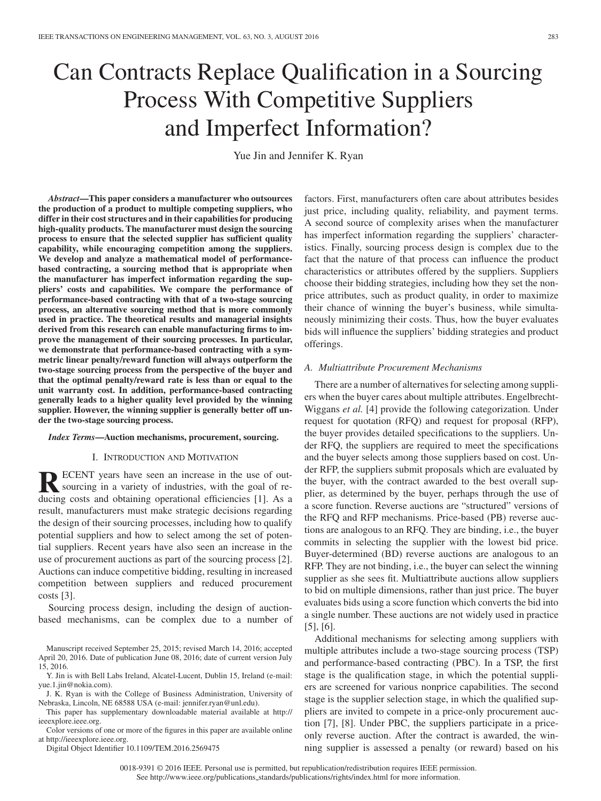# Can Contracts Replace Qualification in a Sourcing Process With Competitive Suppliers and Imperfect Information?

Yue Jin and Jennifer K. Ryan

*Abstract***—This paper considers a manufacturer who outsources the production of a product to multiple competing suppliers, who differ in their cost structures and in their capabilities for producing high-quality products. The manufacturer must design the sourcing process to ensure that the selected supplier has sufficient quality capability, while encouraging competition among the suppliers. We develop and analyze a mathematical model of performancebased contracting, a sourcing method that is appropriate when the manufacturer has imperfect information regarding the suppliers' costs and capabilities. We compare the performance of performance-based contracting with that of a two-stage sourcing process, an alternative sourcing method that is more commonly used in practice. The theoretical results and managerial insights derived from this research can enable manufacturing firms to improve the management of their sourcing processes. In particular, we demonstrate that performance-based contracting with a symmetric linear penalty/reward function will always outperform the two-stage sourcing process from the perspective of the buyer and that the optimal penalty/reward rate is less than or equal to the unit warranty cost. In addition, performance-based contracting generally leads to a higher quality level provided by the winning supplier. However, the winning supplier is generally better off under the two-stage sourcing process.**

#### *Index Terms***—Auction mechanisms, procurement, sourcing.**

#### I. INTRODUCTION AND MOTIVATION

**RECENT** years have seen an increase in the use of out-<br>sourcing in a variety of industries, with the goal of reducing costs and obtaining operational efficiencies [1]. As a result, manufacturers must make strategic decisions regarding the design of their sourcing processes, including how to qualify potential suppliers and how to select among the set of potential suppliers. Recent years have also seen an increase in the use of procurement auctions as part of the sourcing process [2]. Auctions can induce competitive bidding, resulting in increased competition between suppliers and reduced procurement costs [3].

Sourcing process design, including the design of auctionbased mechanisms, can be complex due to a number of

Digital Object Identifier 10.1109/TEM.2016.2569475

factors. First, manufacturers often care about attributes besides just price, including quality, reliability, and payment terms. A second source of complexity arises when the manufacturer has imperfect information regarding the suppliers' characteristics. Finally, sourcing process design is complex due to the fact that the nature of that process can influence the product characteristics or attributes offered by the suppliers. Suppliers choose their bidding strategies, including how they set the nonprice attributes, such as product quality, in order to maximize their chance of winning the buyer's business, while simultaneously minimizing their costs. Thus, how the buyer evaluates bids will influence the suppliers' bidding strategies and product offerings.

#### *A. Multiattribute Procurement Mechanisms*

There are a number of alternatives for selecting among suppliers when the buyer cares about multiple attributes. Engelbrecht-Wiggans *et al.* [4] provide the following categorization. Under request for quotation (RFQ) and request for proposal (RFP), the buyer provides detailed specifications to the suppliers. Under RFQ, the suppliers are required to meet the specifications and the buyer selects among those suppliers based on cost. Under RFP, the suppliers submit proposals which are evaluated by the buyer, with the contract awarded to the best overall supplier, as determined by the buyer, perhaps through the use of a score function. Reverse auctions are "structured" versions of the RFQ and RFP mechanisms. Price-based (PB) reverse auctions are analogous to an RFQ. They are binding, i.e., the buyer commits in selecting the supplier with the lowest bid price. Buyer-determined (BD) reverse auctions are analogous to an RFP. They are not binding, i.e., the buyer can select the winning supplier as she sees fit. Multiattribute auctions allow suppliers to bid on multiple dimensions, rather than just price. The buyer evaluates bids using a score function which converts the bid into a single number. These auctions are not widely used in practice [5], [6].

Additional mechanisms for selecting among suppliers with multiple attributes include a two-stage sourcing process (TSP) and performance-based contracting (PBC). In a TSP, the first stage is the qualification stage, in which the potential suppliers are screened for various nonprice capabilities. The second stage is the supplier selection stage, in which the qualified suppliers are invited to compete in a price-only procurement auction [7], [8]. Under PBC, the suppliers participate in a priceonly reverse auction. After the contract is awarded, the winning supplier is assessed a penalty (or reward) based on his

Manuscript received September 25, 2015; revised March 14, 2016; accepted April 20, 2016. Date of publication June 08, 2016; date of current version July 15, 2016.

Y. Jin is with Bell Labs Ireland, Alcatel-Lucent, Dublin 15, Ireland (e-mail: yue.1.jin@nokia.com).

J. K. Ryan is with the College of Business Administration, University of Nebraska, Lincoln, NE 68588 USA (e-mail: jennifer.ryan@unl.edu).

This paper has supplementary downloadable material available at http:// ieeexplore.ieee.org.

Color versions of one or more of the figures in this paper are available online at http://ieeexplore.ieee.org.

<sup>0018-9391 © 2016</sup> IEEE. Personal use is permitted, but republication/redistribution requires IEEE permission. See http://www.ieee.org/publications\_[standards/publications/rights/index.html](http://www.ieee.org/publications_standards/publications/rights/index.html) for more information.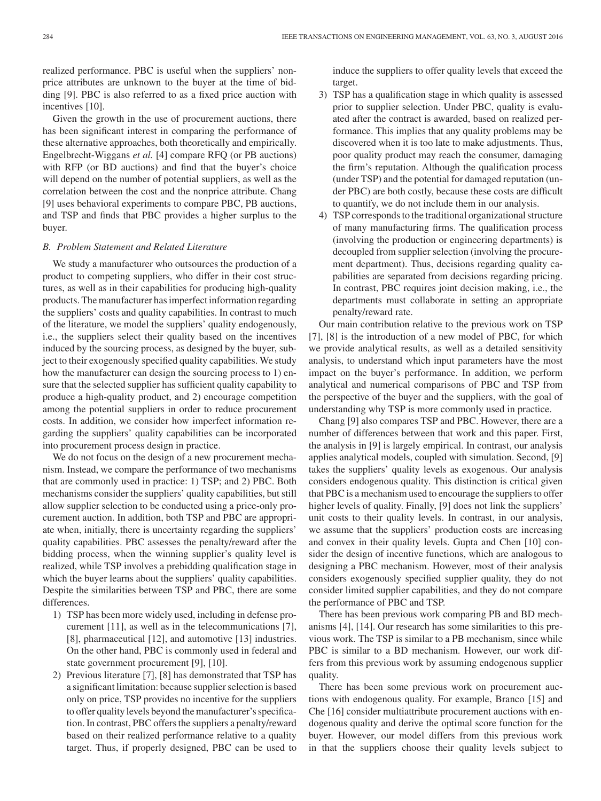realized performance. PBC is useful when the suppliers' nonprice attributes are unknown to the buyer at the time of bidding [9]. PBC is also referred to as a fixed price auction with incentives [10].

Given the growth in the use of procurement auctions, there has been significant interest in comparing the performance of these alternative approaches, both theoretically and empirically. Engelbrecht-Wiggans *et al.* [4] compare RFQ (or PB auctions) with RFP (or BD auctions) and find that the buyer's choice will depend on the number of potential suppliers, as well as the correlation between the cost and the nonprice attribute. Chang [9] uses behavioral experiments to compare PBC, PB auctions, and TSP and finds that PBC provides a higher surplus to the buyer.

#### *B. Problem Statement and Related Literature*

We study a manufacturer who outsources the production of a product to competing suppliers, who differ in their cost structures, as well as in their capabilities for producing high-quality products. The manufacturer has imperfect information regarding the suppliers' costs and quality capabilities. In contrast to much of the literature, we model the suppliers' quality endogenously, i.e., the suppliers select their quality based on the incentives induced by the sourcing process, as designed by the buyer, subject to their exogenously specified quality capabilities. We study how the manufacturer can design the sourcing process to 1) ensure that the selected supplier has sufficient quality capability to produce a high-quality product, and 2) encourage competition among the potential suppliers in order to reduce procurement costs. In addition, we consider how imperfect information regarding the suppliers' quality capabilities can be incorporated into procurement process design in practice.

We do not focus on the design of a new procurement mechanism. Instead, we compare the performance of two mechanisms that are commonly used in practice: 1) TSP; and 2) PBC. Both mechanisms consider the suppliers' quality capabilities, but still allow supplier selection to be conducted using a price-only procurement auction. In addition, both TSP and PBC are appropriate when, initially, there is uncertainty regarding the suppliers' quality capabilities. PBC assesses the penalty/reward after the bidding process, when the winning supplier's quality level is realized, while TSP involves a prebidding qualification stage in which the buyer learns about the suppliers' quality capabilities. Despite the similarities between TSP and PBC, there are some differences.

- 1) TSP has been more widely used, including in defense procurement [11], as well as in the telecommunications [7], [8], pharmaceutical [12], and automotive [13] industries. On the other hand, PBC is commonly used in federal and state government procurement [9], [10].
- 2) Previous literature [7], [8] has demonstrated that TSP has a significant limitation: because supplier selection is based only on price, TSP provides no incentive for the suppliers to offer quality levels beyond the manufacturer's specification. In contrast, PBC offers the suppliers a penalty/reward based on their realized performance relative to a quality target. Thus, if properly designed, PBC can be used to

induce the suppliers to offer quality levels that exceed the target.

- 3) TSP has a qualification stage in which quality is assessed prior to supplier selection. Under PBC, quality is evaluated after the contract is awarded, based on realized performance. This implies that any quality problems may be discovered when it is too late to make adjustments. Thus, poor quality product may reach the consumer, damaging the firm's reputation. Although the qualification process (under TSP) and the potential for damaged reputation (under PBC) are both costly, because these costs are difficult to quantify, we do not include them in our analysis.
- 4) TSP corresponds to the traditional organizational structure of many manufacturing firms. The qualification process (involving the production or engineering departments) is decoupled from supplier selection (involving the procurement department). Thus, decisions regarding quality capabilities are separated from decisions regarding pricing. In contrast, PBC requires joint decision making, i.e., the departments must collaborate in setting an appropriate penalty/reward rate.

Our main contribution relative to the previous work on TSP [7], [8] is the introduction of a new model of PBC, for which we provide analytical results, as well as a detailed sensitivity analysis, to understand which input parameters have the most impact on the buyer's performance. In addition, we perform analytical and numerical comparisons of PBC and TSP from the perspective of the buyer and the suppliers, with the goal of understanding why TSP is more commonly used in practice.

Chang [9] also compares TSP and PBC. However, there are a number of differences between that work and this paper. First, the analysis in [9] is largely empirical. In contrast, our analysis applies analytical models, coupled with simulation. Second, [9] takes the suppliers' quality levels as exogenous. Our analysis considers endogenous quality. This distinction is critical given that PBC is a mechanism used to encourage the suppliers to offer higher levels of quality. Finally, [9] does not link the suppliers' unit costs to their quality levels. In contrast, in our analysis, we assume that the suppliers' production costs are increasing and convex in their quality levels. Gupta and Chen [10] consider the design of incentive functions, which are analogous to designing a PBC mechanism. However, most of their analysis considers exogenously specified supplier quality, they do not consider limited supplier capabilities, and they do not compare the performance of PBC and TSP.

There has been previous work comparing PB and BD mechanisms [4], [14]. Our research has some similarities to this previous work. The TSP is similar to a PB mechanism, since while PBC is similar to a BD mechanism. However, our work differs from this previous work by assuming endogenous supplier quality.

There has been some previous work on procurement auctions with endogenous quality. For example, Branco [15] and Che [16] consider multiattribute procurement auctions with endogenous quality and derive the optimal score function for the buyer. However, our model differs from this previous work in that the suppliers choose their quality levels subject to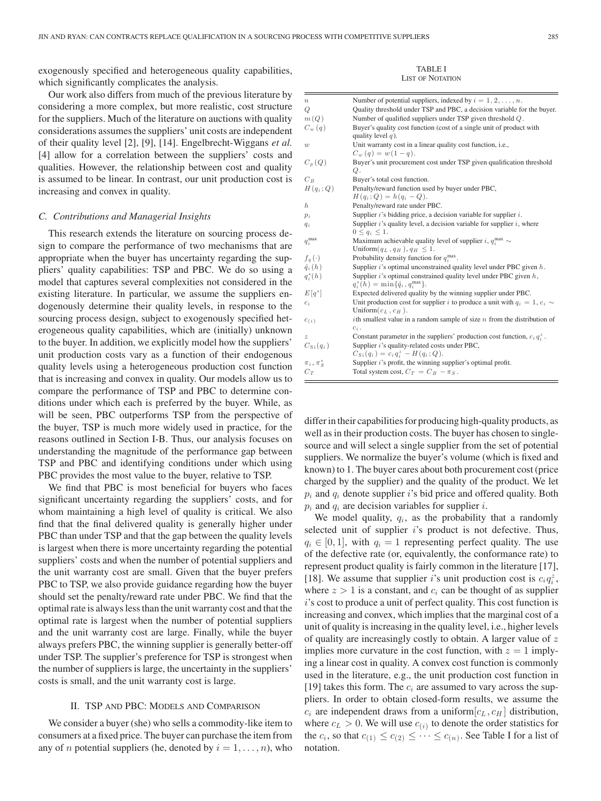exogenously specified and heterogeneous quality capabilities, which significantly complicates the analysis.

Our work also differs from much of the previous literature by considering a more complex, but more realistic, cost structure for the suppliers. Much of the literature on auctions with quality considerations assumes the suppliers' unit costs are independent of their quality level [2], [9], [14]. Engelbrecht-Wiggans *et al.* [4] allow for a correlation between the suppliers' costs and qualities. However, the relationship between cost and quality is assumed to be linear. In contrast, our unit production cost is increasing and convex in quality.

#### *C. Contributions and Managerial Insights*

This research extends the literature on sourcing process design to compare the performance of two mechanisms that are appropriate when the buyer has uncertainty regarding the suppliers' quality capabilities: TSP and PBC. We do so using a model that captures several complexities not considered in the existing literature. In particular, we assume the suppliers endogenously determine their quality levels, in response to the sourcing process design, subject to exogenously specified heterogeneous quality capabilities, which are (initially) unknown to the buyer. In addition, we explicitly model how the suppliers' unit production costs vary as a function of their endogenous quality levels using a heterogeneous production cost function that is increasing and convex in quality. Our models allow us to compare the performance of TSP and PBC to determine conditions under which each is preferred by the buyer. While, as will be seen, PBC outperforms TSP from the perspective of the buyer, TSP is much more widely used in practice, for the reasons outlined in Section I-B. Thus, our analysis focuses on understanding the magnitude of the performance gap between TSP and PBC and identifying conditions under which using PBC provides the most value to the buyer, relative to TSP.

We find that PBC is most beneficial for buyers who faces significant uncertainty regarding the suppliers' costs, and for whom maintaining a high level of quality is critical. We also find that the final delivered quality is generally higher under PBC than under TSP and that the gap between the quality levels is largest when there is more uncertainty regarding the potential suppliers' costs and when the number of potential suppliers and the unit warranty cost are small. Given that the buyer prefers PBC to TSP, we also provide guidance regarding how the buyer should set the penalty/reward rate under PBC. We find that the optimal rate is always less than the unit warranty cost and that the optimal rate is largest when the number of potential suppliers and the unit warranty cost are large. Finally, while the buyer always prefers PBC, the winning supplier is generally better-off under TSP. The supplier's preference for TSP is strongest when the number of suppliers is large, the uncertainty in the suppliers' costs is small, and the unit warranty cost is large.

#### II. TSP AND PBC: MODELS AND COMPARISON

We consider a buyer (she) who sells a commodity-like item to consumers at a fixed price. The buyer can purchase the item from any of *n* potential suppliers (he, denoted by  $i = 1, \ldots, n$ ), who

TABLE I LIST OF NOTATION

| $\boldsymbol{n}$     | Number of potential suppliers, indexed by $i = 1, 2, \ldots, n$ .                  |
|----------------------|------------------------------------------------------------------------------------|
| Q                    | Quality threshold under TSP and PBC, a decision variable for the buyer.            |
| m(Q)                 | Number of qualified suppliers under TSP given threshold $Q$ .                      |
| $C_w(q)$             | Buyer's quality cost function (cost of a single unit of product with               |
|                      | quality level $q$ ).                                                               |
| $\boldsymbol{w}$     | Unit warranty cost in a linear quality cost function, i.e.,                        |
|                      | $C_w(q) = w(1-q).$                                                                 |
| $C_p(Q)$             | Buyer's unit procurement cost under TSP given qualification threshold              |
|                      | Q.                                                                                 |
| $C_R$                | Buyer's total cost function.                                                       |
| $H(q_i; Q)$          | Penalty/reward function used by buyer under PBC,                                   |
|                      | $H(q_i; Q) = h(q_i - Q).$                                                          |
| h.                   | Penalty/reward rate under PBC.                                                     |
| $p_i$                | Supplier $i$ 's bidding price, a decision variable for supplier $i$ .              |
| $q_i$                | Supplier $i$ 's quality level, a decision variable for supplier $i$ , where        |
|                      | $0 \leq q_i \leq 1$ .                                                              |
| $q_i^{\max}$         | Maximum achievable quality level of supplier i, $q_i^{\max} \sim$                  |
|                      | Uniform $(q_L, q_H)$ , $q_H \leq 1$ .                                              |
| $f_q(\cdot)$         | Probability density function for $q_i^{\max}$ .                                    |
| $\hat{q}_i(h)$       | Supplier $i$ 's optimal unconstrained quality level under PBC given $h$ .          |
| $q_i^*(h)$           | Supplier $i$ 's optimal constrained quality level under PBC given $h$ ,            |
|                      | $q_i^*(h) = \min\{\hat{q}_i, q_i^{\max}\}.$                                        |
| $E[q^*]$             | Expected delivered quality by the winning supplier under PBC.                      |
| $c_i$                | Unit production cost for supplier i to produce a unit with $q_i = 1, c_i$          |
|                      | Uniform $(c_L, c_H)$ .                                                             |
| $c_{(i)}$            | <i>i</i> th smallest value in a random sample of size $n$ from the distribution of |
|                      | $c_i$ .                                                                            |
| $\boldsymbol{z}$     | Constant parameter in the suppliers' production cost function, $c_i q_i^z$ .       |
| $C_{\text{Si}}(q_i)$ | Supplier i's quality-related costs under PBC,                                      |
|                      | $C_{\text{Si}}(q_i) = c_i q_i^z - H(q_i; Q).$                                      |
| $\pi_i$ , $\pi_S^*$  | Supplier <i>i</i> 's profit, the winning supplier's optimal profit.                |
| $C_T$                | Total system cost, $C_T = C_B - \pi_S$ .                                           |
|                      |                                                                                    |

differ in their capabilities for producing high-quality products, as well as in their production costs. The buyer has chosen to singlesource and will select a single supplier from the set of potential suppliers. We normalize the buyer's volume (which is fixed and known) to 1. The buyer cares about both procurement cost (price charged by the supplier) and the quality of the product. We let  $p_i$  and  $q_i$  denote supplier i's bid price and offered quality. Both  $p_i$  and  $q_i$  are decision variables for supplier *i*.

We model quality,  $q_i$ , as the probability that a randomly selected unit of supplier  $i$ 's product is not defective. Thus,  $q_i \in [0, 1]$ , with  $q_i = 1$  representing perfect quality. The use of the defective rate (or, equivalently, the conformance rate) to represent product quality is fairly common in the literature [17], [18]. We assume that supplier i's unit production cost is  $c_i q_i^z$ , where  $z > 1$  is a constant, and  $c_i$  can be thought of as supplier i's cost to produce a unit of perfect quality. This cost function is increasing and convex, which implies that the marginal cost of a unit of quality is increasing in the quality level, i.e., higher levels of quality are increasingly costly to obtain. A larger value of  $z$ implies more curvature in the cost function, with  $z = 1$  implying a linear cost in quality. A convex cost function is commonly used in the literature, e.g., the unit production cost function in [19] takes this form. The  $c_i$  are assumed to vary across the suppliers. In order to obtain closed-form results, we assume the  $c_i$  are independent draws from a uniform  $[c_L, c_H]$  distribution, where  $c_L > 0$ . We will use  $c_{(i)}$  to denote the order statistics for the  $c_i$ , so that  $c_{(1)} \leq c_{(2)} \leq \cdots \leq c_{(n)}$ . See Table I for a list of notation.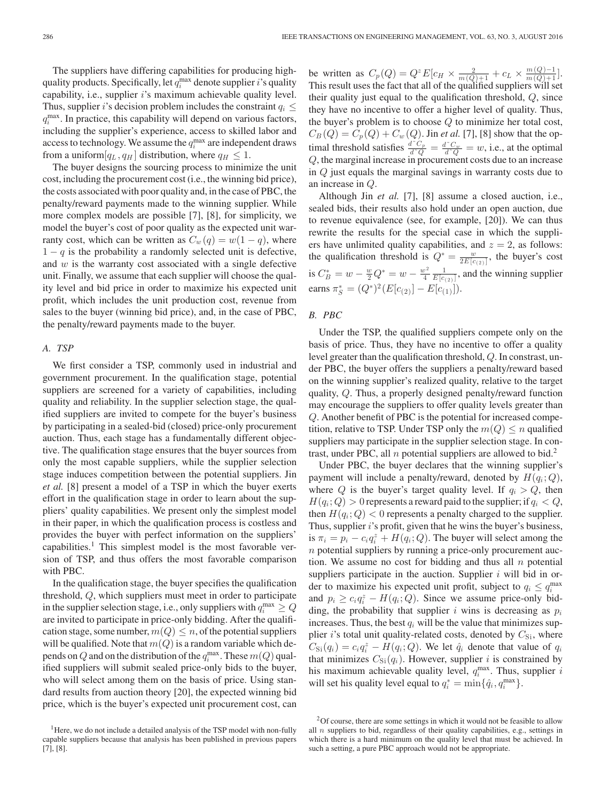The suppliers have differing capabilities for producing highquality products. Specifically, let  $q_i^{\max}$  denote supplier i's quality capability, i.e., supplier  $i$ 's maximum achievable quality level. Thus, supplier i's decision problem includes the constraint  $q_i \leq$  $q_i^{\text{max}}$ . In practice, this capability will depend on various factors, including the supplier's experience, access to skilled labor and access to technology. We assume the  $q_i^{\max}$  are independent draws from a uniform  $[q_L, q_H]$  distribution, where  $q_H \leq 1$ .

The buyer designs the sourcing process to minimize the unit cost, including the procurement cost (i.e., the winning bid price), the costs associated with poor quality and, in the case of PBC, the penalty/reward payments made to the winning supplier. While more complex models are possible [7], [8], for simplicity, we model the buyer's cost of poor quality as the expected unit warranty cost, which can be written as  $C_w(q) = w(1 - q)$ , where  $1 - q$  is the probability a randomly selected unit is defective, and w is the warranty cost associated with a single defective unit. Finally, we assume that each supplier will choose the quality level and bid price in order to maximize his expected unit profit, which includes the unit production cost, revenue from sales to the buyer (winning bid price), and, in the case of PBC, the penalty/reward payments made to the buyer.

#### *A. TSP*

We first consider a TSP, commonly used in industrial and government procurement. In the qualification stage, potential suppliers are screened for a variety of capabilities, including quality and reliability. In the supplier selection stage, the qualified suppliers are invited to compete for the buyer's business by participating in a sealed-bid (closed) price-only procurement auction. Thus, each stage has a fundamentally different objective. The qualification stage ensures that the buyer sources from only the most capable suppliers, while the supplier selection stage induces competition between the potential suppliers. Jin *et al.* [8] present a model of a TSP in which the buyer exerts effort in the qualification stage in order to learn about the suppliers' quality capabilities. We present only the simplest model in their paper, in which the qualification process is costless and provides the buyer with perfect information on the suppliers' capabilities.<sup>1</sup> This simplest model is the most favorable version of TSP, and thus offers the most favorable comparison with PBC.

In the qualification stage, the buyer specifies the qualification threshold, Q, which suppliers must meet in order to participate in the supplier selection stage, i.e., only suppliers with  $q_i^{\text{max}} \geq Q$ are invited to participate in price-only bidding. After the qualification stage, some number,  $m(Q) \leq n$ , of the potential suppliers will be qualified. Note that  $m(Q)$  is a random variable which depends on  $Q$  and on the distribution of the  $q_i^{\max}$ . These  $m(Q)$  qualified suppliers will submit sealed price-only bids to the buyer, who will select among them on the basis of price. Using standard results from auction theory [20], the expected winning bid price, which is the buyer's expected unit procurement cost, can

be written as  $C_p(Q) = Q^z E[c_H \times \frac{2}{m(Q)+1} + c_L \times \frac{m(Q)-1}{m(Q)+1}].$ This result uses the fact that all of the qualified suppliers will set their quality just equal to the qualification threshold,  $Q$ , since they have no incentive to offer a higher level of quality. Thus, the buyer's problem is to choose  $Q$  to minimize her total cost,  $C_B(Q) = C_p(Q) + C_w(Q)$ . Jin *et al.* [7], [8] show that the optimal threshold satisfies  $\frac{d^2C_p}{d^2Q} = \frac{d^2C_w}{d^2Q} = w$ , i.e., at the optimal Q, the marginal increase in procurement costs due to an increase in Q just equals the marginal savings in warranty costs due to an increase in Q.

Although Jin *et al.* [7], [8] assume a closed auction, i.e., sealed bids, their results also hold under an open auction, due to revenue equivalence (see, for example, [20]). We can thus rewrite the results for the special case in which the suppliers have unlimited quality capabilities, and  $z = 2$ , as follows: the qualification threshold is  $Q^* = \frac{w}{2E[c_{(2)}]}$ , the buyer's cost is  $C_B^* = w - \frac{w}{2}Q^* = w - \frac{w^2}{4} \frac{1}{E[c_{(2)}]}$ , and the winning supplier earns  $\pi_S^* = (Q^*)^2 (E[c_{(2)}] - E[c_{(1)}]).$ 

#### *B. PBC*

Under the TSP, the qualified suppliers compete only on the basis of price. Thus, they have no incentive to offer a quality level greater than the qualification threshold, Q. In constrast, under PBC, the buyer offers the suppliers a penalty/reward based on the winning supplier's realized quality, relative to the target quality, Q. Thus, a properly designed penalty/reward function may encourage the suppliers to offer quality levels greater than Q. Another benefit of PBC is the potential for increased competition, relative to TSP. Under TSP only the  $m(Q) \leq n$  qualified suppliers may participate in the supplier selection stage. In contrast, under PBC, all n potential suppliers are allowed to bid.<sup>2</sup>

Under PBC, the buyer declares that the winning supplier's payment will include a penalty/reward, denoted by  $H(q_i; Q)$ , where Q is the buyer's target quality level. If  $q_i > Q$ , then  $H(q_i; Q) > 0$  represents a reward paid to the supplier; if  $q_i < Q$ , then  $H(q_i; Q) < 0$  represents a penalty charged to the supplier. Thus, supplier *i*'s profit, given that he wins the buyer's business, is  $\pi_i = p_i - c_i q_i^z + H(q_i; Q)$ . The buyer will select among the  $n$  potential suppliers by running a price-only procurement auction. We assume no cost for bidding and thus all  $n$  potential suppliers participate in the auction. Supplier  $i$  will bid in order to maximize his expected unit profit, subject to  $q_i \leq q_i^{\max}$ and  $p_i \ge c_i q_i^z - H(q_i; Q)$ . Since we assume price-only bidding, the probability that supplier i wins is decreasing as  $p_i$ increases. Thus, the best  $q_i$  will be the value that minimizes supplier i's total unit quality-related costs, denoted by  $C_{\text{Si}}$ , where  $C_{\text{Si}}(q_i) = c_i q_i^z - H(q_i; Q)$ . We let  $\hat{q}_i$  denote that value of  $q_i$ that minimizes  $C_{\text{Si}}(q_i)$ . However, supplier i is constrained by his maximum achievable quality level,  $q_i^{\text{max}}$ . Thus, supplier i will set his quality level equal to  $q_i^* = \min\{\hat{q}_i, q_i^{\max}\}.$ 

<sup>&</sup>lt;sup>1</sup>Here, we do not include a detailed analysis of the TSP model with non-fully capable suppliers because that analysis has been published in previous papers [7], [8].

 $2^2$ Of course, there are some settings in which it would not be feasible to allow all  $n$  suppliers to bid, regardless of their quality capabilities, e.g., settings in which there is a hard minimum on the quality level that must be achieved. In such a setting, a pure PBC approach would not be appropriate.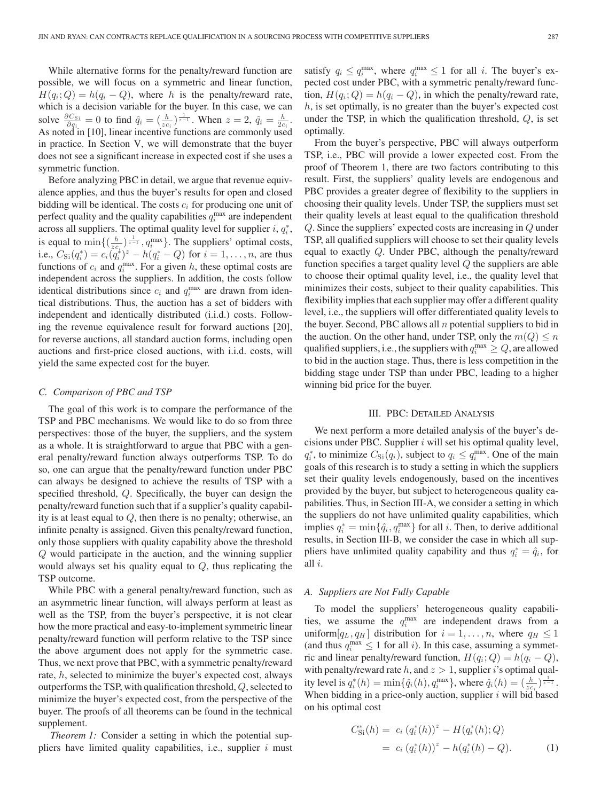While alternative forms for the penalty/reward function are possible, we will focus on a symmetric and linear function,  $H(q_i; Q) = h(q_i - Q)$ , where h is the penalty/reward rate, which is a decision variable for the buyer. In this case, we can solve  $\frac{\partial C_{\text{Si}}}{\partial q_i} = 0$  to find  $\hat{q}_i = \left(\frac{h}{zc_i}\right)^{\frac{1}{z-1}}$ . When  $z = 2$ ,  $\hat{q}_i = \frac{h}{2c_i}$ . As noted in [10], linear incentive functions are commonly used in practice. In Section V, we will demonstrate that the buyer does not see a significant increase in expected cost if she uses a symmetric function.

Before analyzing PBC in detail, we argue that revenue equivalence applies, and thus the buyer's results for open and closed bidding will be identical. The costs  $c_i$  for producing one unit of perfect quality and the quality capabilities  $q_i^{\max}$  are independent across all suppliers. The optimal quality level for supplier  $i, q_i^*$ , is equal to  $\min\left\{\left(\frac{h}{z c_i}\right)^{\frac{1}{z-1}}, q_i^{\max}\right\}$ . The suppliers' optimal costs, i.e.,  $C_{\text{Si}}(q_i^*) = c_i(\tilde{q}_i^*)^z - h(q_i^* - Q)$  for  $i = 1, ..., n$ , are thus functions of  $c_i$  and  $q_i^{\text{max}}$ . For a given h, these optimal costs are independent across the suppliers. In addition, the costs follow identical distributions since  $c_i$  and  $q_i^{\max}$  are drawn from identical distributions. Thus, the auction has a set of bidders with independent and identically distributed (i.i.d.) costs. Following the revenue equivalence result for forward auctions [20], for reverse auctions, all standard auction forms, including open auctions and first-price closed auctions, with i.i.d. costs, will yield the same expected cost for the buyer.

#### *C. Comparison of PBC and TSP*

The goal of this work is to compare the performance of the TSP and PBC mechanisms. We would like to do so from three perspectives: those of the buyer, the suppliers, and the system as a whole. It is straightforward to argue that PBC with a general penalty/reward function always outperforms TSP. To do so, one can argue that the penalty/reward function under PBC can always be designed to achieve the results of TSP with a specified threshold, Q. Specifically, the buyer can design the penalty/reward function such that if a supplier's quality capability is at least equal to Q, then there is no penalty; otherwise, an infinite penalty is assigned. Given this penalty/reward function, only those suppliers with quality capability above the threshold Q would participate in the auction, and the winning supplier would always set his quality equal to Q, thus replicating the TSP outcome.

While PBC with a general penalty/reward function, such as an asymmetric linear function, will always perform at least as well as the TSP, from the buyer's perspective, it is not clear how the more practical and easy-to-implement symmetric linear penalty/reward function will perform relative to the TSP since the above argument does not apply for the symmetric case. Thus, we next prove that PBC, with a symmetric penalty/reward rate, h, selected to minimize the buyer's expected cost, always outperforms the TSP, with qualification threshold, Q, selected to minimize the buyer's expected cost, from the perspective of the buyer. The proofs of all theorems can be found in the technical supplement.

*Theorem 1:* Consider a setting in which the potential suppliers have limited quality capabilities, i.e., supplier  $i$  must

satisfy  $q_i \le q_i^{\max}$ , where  $q_i^{\max} \le 1$  for all *i*. The buyer's expected cost under PBC, with a symmetric penalty/reward function,  $H(q_i; Q) = h(q_i - Q)$ , in which the penalty/reward rate,  $h$ , is set optimally, is no greater than the buyer's expected cost under the TSP, in which the qualification threshold,  $Q$ , is set optimally.

From the buyer's perspective, PBC will always outperform TSP, i.e., PBC will provide a lower expected cost. From the proof of Theorem 1, there are two factors contributing to this result. First, the suppliers' quality levels are endogenous and PBC provides a greater degree of flexibility to the suppliers in choosing their quality levels. Under TSP, the suppliers must set their quality levels at least equal to the qualification threshold Q. Since the suppliers' expected costs are increasing in Q under TSP, all qualified suppliers will choose to set their quality levels equal to exactly Q. Under PBC, although the penalty/reward function specifies a target quality level  $Q$  the suppliers are able to choose their optimal quality level, i.e., the quality level that minimizes their costs, subject to their quality capabilities. This flexibility implies that each supplier may offer a different quality level, i.e., the suppliers will offer differentiated quality levels to the buyer. Second, PBC allows all  $n$  potential suppliers to bid in the auction. On the other hand, under TSP, only the  $m(Q) \leq n$ qualified suppliers, i.e., the suppliers with  $q_i^{\max} \geq Q$ , are allowed to bid in the auction stage. Thus, there is less competition in the bidding stage under TSP than under PBC, leading to a higher winning bid price for the buyer.

#### III. PBC: DETAILED ANALYSIS

We next perform a more detailed analysis of the buyer's decisions under PBC. Supplier  $i$  will set his optimal quality level,  $q_i^*$ , to minimize  $C_{\text{Si}}(q_i)$ , subject to  $q_i \le q_i^{\text{max}}$ . One of the main goals of this research is to study a setting in which the suppliers set their quality levels endogenously, based on the incentives provided by the buyer, but subject to heterogeneous quality capabilities. Thus, in Section III-A, we consider a setting in which the suppliers do not have unlimited quality capabilities, which implies  $q_i^* = \min\{\hat{q}_i, q_i^{\max}\}\$ for all *i*. Then, to derive additional results, in Section III-B, we consider the case in which all suppliers have unlimited quality capability and thus  $q_i^* = \hat{q}_i$ , for all i.

#### *A. Suppliers are Not Fully Capable*

To model the suppliers' heterogeneous quality capabilities, we assume the  $q_i^{\max}$  are independent draws from a uniform  $[q_L, q_H]$  distribution for  $i = 1, \ldots, n$ , where  $q_H \leq 1$ (and thus  $q_i^{\max} \leq 1$  for all *i*). In this case, assuming a symmetric and linear penalty/reward function,  $H(q_i; Q) = h(q_i - Q)$ , with penalty/reward rate h, and  $z > 1$ , supplier i's optimal quality level is  $q_i^*(h) = \min\{\hat{q}_i(h), q_i^{\max}\}\$ , where  $\hat{q}_i(h) = (\frac{h}{zc_i})^{\frac{1}{z-1}}$ . When bidding in a price-only auction, supplier  $i$  will bid based on his optimal cost

$$
C_{\text{Si}}^{*}(h) = c_{i} (q_{i}^{*}(h))^{z} - H(q_{i}^{*}(h); Q)
$$
  
= c\_{i} (q\_{i}^{\*}(h))^{z} - h(q\_{i}^{\*}(h) - Q). (1)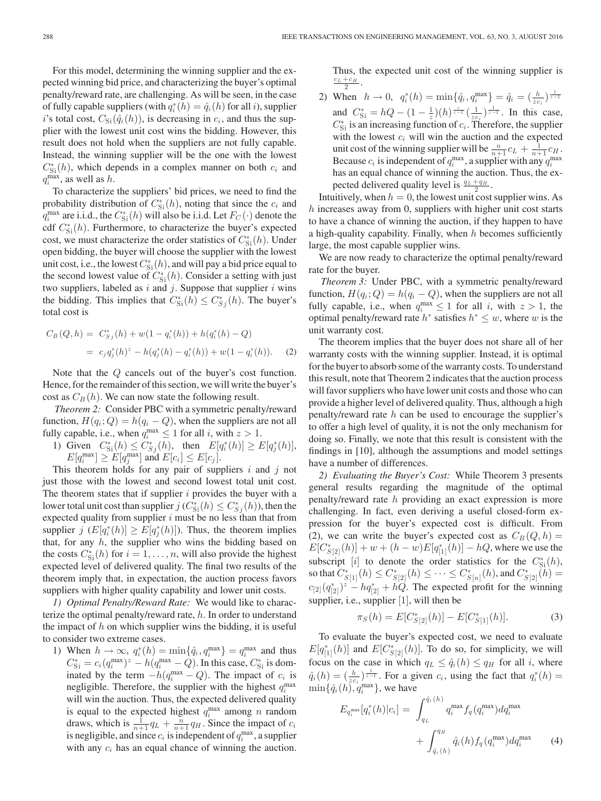For this model, determining the winning supplier and the expected winning bid price, and characterizing the buyer's optimal penalty/reward rate, are challenging. As will be seen, in the case of fully capable suppliers (with  $q_i^*(h) = \hat{q}_i(h)$  for all i), supplier i's total cost,  $C_{\text{Si}}(\hat{q}_i(h))$ , is decreasing in  $c_i$ , and thus the supplier with the lowest unit cost wins the bidding. However, this result does not hold when the suppliers are not fully capable. Instead, the winning supplier will be the one with the lowest  $C_{\text{Si}}^{*}(h)$ , which depends in a complex manner on both  $c_i$  and  $q_i^{\max}$ , as well as h.

To characterize the suppliers' bid prices, we need to find the probability distribution of  $C_{\text{Si}}^*(h)$ , noting that since the  $c_i$  and  $q_i^{\text{max}}$  are i.i.d., the  $C_{\text{Si}}^*(h)$  will also be i.i.d. Let  $F_C(\cdot)$  denote the cdf  $C_{\text{Si}}^{*}(h)$ . Furthermore, to characterize the buyer's expected cost, we must characterize the order statistics of  $C_{\text{Si}}^{*}(h)$ . Under open bidding, the buyer will choose the supplier with the lowest unit cost, i.e., the lowest  $C_{\rm Si}^*(h)$ , and will pay a bid price equal to the second lowest value of  $C_{\text{Si}}^*(h)$ . Consider a setting with just two suppliers, labeled as  $i$  and  $j$ . Suppose that supplier  $i$  wins the bidding. This implies that  $C_{\text{Si}}^*(h) \leq C_{\text{Sj}}^*(h)$ . The buyer's total cost is

$$
C_B(Q, h) = C_{Sj}^*(h) + w(1 - q_i^*(h)) + h(q_i^*(h) - Q)
$$
  
=  $c_j q_j^*(h)^z - h(q_j^*(h) - q_i^*(h)) + w(1 - q_i^*(h)).$  (2)

Note that the Q cancels out of the buyer's cost function. Hence, for the remainder of this section, we will write the buyer's cost as  $C_B(h)$ . We can now state the following result.

*Theorem 2:* Consider PBC with a symmetric penalty/reward function,  $H(q_i; Q) = h(q_i - Q)$ , when the suppliers are not all fully capable, i.e., when  $q_i^{\max} \leq 1$  for all i, with  $z > 1$ .

1) Given  $C_{\text{Si}}^{*}(h) \leq C_{S_j}^{*}(h)$ , then  $E[q_i^{*}(h)] \geq E[q_j^{*}(h)]$ ,  $E[q_i^{\max}] \ge E[q_j^{\max}]$  and  $E[c_i] \le E[c_j]$ .

This theorem holds for any pair of suppliers  $i$  and  $j$  not just those with the lowest and second lowest total unit cost. The theorem states that if supplier  $i$  provides the buyer with a lower total unit cost than supplier  $j(C_{\text{Si}}^*(h) \leq C_{S_j}^*(h))$ , then the expected quality from supplier  $i$  must be no less than that from supplier  $j$  ( $E[q_i^*(h)] \ge E[q_j^*(h)]$ ). Thus, the theorem implies that, for any  $h$ , the supplier who wins the bidding based on the costs  $C_{\text{Si}}^{*}(h)$  for  $i = 1, ..., n$ , will also provide the highest expected level of delivered quality. The final two results of the theorem imply that, in expectation, the auction process favors suppliers with higher quality capability and lower unit costs.

*1) Optimal Penalty/Reward Rate:* We would like to characterize the optimal penalty/reward rate, h. In order to understand the impact of  $h$  on which supplier wins the bidding, it is useful to consider two extreme cases.

1) When  $h \to \infty$ ,  $q_i^*(h) = \min\{\hat{q}_i, q_i^{\max}\} = q_i^{\max}$  and thus  $C_{\text{Si}}^* = c_i (q_i^{\text{max}})^z - h (q_i^{\text{max}} - Q)$ . In this case,  $C_{\text{Si}}^*$  is dominated by the term  $-h(q_i^{\text{max}} - Q)$ . The impact of  $c_i$  is negligible. Therefore, the supplier with the highest  $q_i^{\max}$ will win the auction. Thus, the expected delivered quality is equal to the expected highest  $q_i^{\text{max}}$  among n random draws, which is  $\frac{1}{n+1}q_L + \frac{n}{n+1}q_H$ . Since the impact of  $c_i$ is negligible, and since  $c_i$  is independent of  $q_i^{\max}$ , a supplier with any  $c_i$  has an equal chance of winning the auction. Thus, the expected unit cost of the winning supplier is  $\frac{c_L + c_H}{2}$ .

2) When  $h \to 0$ ,  $q_i^*(h) = \min\{\hat{q}_i, q_i^{\max}\} = \hat{q}_i = (\frac{h}{z c_i})^{\frac{1}{z-1}}$ and  $C_{\text{Si}}^* = hQ - (1 - \frac{1}{z})(h)^{\frac{z}{z-1}}(\frac{1}{z c_i})^{\frac{1}{z-1}}$ . In this case,  $C_{\text{Si}}^*$  is an increasing function of  $c_i$ . Therefore, the supplier with the lowest  $c_i$  will win the auction and the expected unit cost of the winning supplier will be  $\frac{n}{n+1}c_L + \frac{1}{n+1}c_H$ . Because  $c_i$  is independent of  $q_i^{\max}$ , a supplier with any  $q_i^{\max}$ has an equal chance of winning the auction. Thus, the expected delivered quality level is  $\frac{q_L + q_H}{2}$ .

Intuitively, when  $h = 0$ , the lowest unit cost supplier wins. As h increases away from 0, suppliers with higher unit cost starts to have a chance of winning the auction, if they happen to have a high-quality capability. Finally, when  $h$  becomes sufficiently large, the most capable supplier wins.

We are now ready to characterize the optimal penalty/reward rate for the buyer.

*Theorem 3:* Under PBC, with a symmetric penalty/reward function,  $H(q_i; Q) = h(q_i - Q)$ , when the suppliers are not all fully capable, i.e., when  $q_i^{\max} \leq 1$  for all i, with  $z > 1$ , the optimal penalty/reward rate  $h^*$  satisfies  $h^* \leq w$ , where w is the unit warranty cost.

The theorem implies that the buyer does not share all of her warranty costs with the winning supplier. Instead, it is optimal for the buyer to absorb some of the warranty costs. To understand this result, note that Theorem 2 indicates that the auction process will favor suppliers who have lower unit costs and those who can provide a higher level of delivered quality. Thus, although a high penalty/reward rate  $h$  can be used to encourage the supplier's to offer a high level of quality, it is not the only mechanism for doing so. Finally, we note that this result is consistent with the findings in [10], although the assumptions and model settings have a number of differences.

*2) Evaluating the Buyer's Cost:* While Theorem 3 presents general results regarding the magnitude of the optimal penalty/reward rate h providing an exact expression is more challenging. In fact, even deriving a useful closed-form expression for the buyer's expected cost is difficult. From (2), we can write the buyer's expected cost as  $C_B(Q, h) =$  $E[C^*_{S[2]}(h)] + w + (h - w)E[q^*_{[1]}(h)] - hQ$ , where we use the subscript [i] to denote the order statistics for the  $C_{\text{Si}}^{*}(h)$ , so that  $C^*_{S[1]}(h) \leq C^*_{S[2]}(h) \leq \cdots \leq C^*_{S[n]}(h)$ , and  $C^*_{S[2]}(h) =$  $c_{[2]}(q_{[2]}^*)^z - hq_{[2]}^* + hQ$ . The expected profit for the winning supplier, i.e., supplier [1], will then be

$$
\pi_S(h) = E[C^*_{S[2]}(h)] - E[C^*_{S[1]}(h)].
$$
\n(3)

To evaluate the buyer's expected cost, we need to evaluate  $E[q_{[1]}^{*}(h)]$  and  $E[C_{S[2]}^{*}(h)]$ . To do so, for simplicity, we will focus on the case in which  $q_L \le \hat{q}_i(h) \le q_H$  for all i, where  $\hat{q}_i(h) = \left(\frac{h}{z c_i}\right)^{\frac{1}{z-1}}$ . For a given  $c_i$ , using the fact that  $q_i^*(h)$  $\min\{\hat{q}_i(h), q_i^{\max}\}\text{, we have}$ 

$$
E_{q_i^{\max}}[q_i^*(h)|c_i] = \int_{q_L}^{\hat{q}_i(h)} q_i^{\max} f_q(q_i^{\max}) dq_i^{\max} + \int_{\hat{q}_i(h)}^{q_H} \hat{q}_i(h) f_q(q_i^{\max}) dq_i^{\max} \tag{4}
$$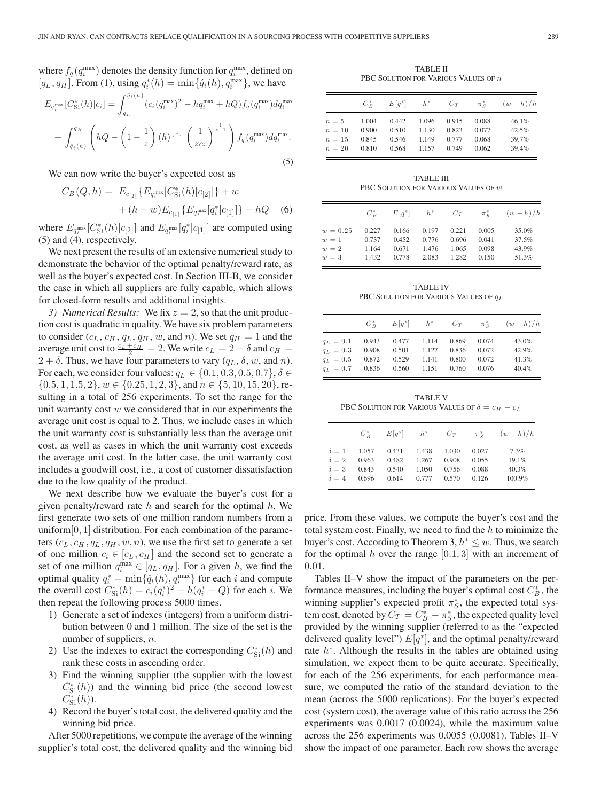where  $f_q(q_i^{\max})$  denotes the density function for  $q_i^{\max}$ , defined on  $[q_L, q_H]$ . From (1), using  $q_i^*(h) = \min\{\hat{q}_i(h), q_i^{\max}\}\$ , we have

$$
E_{q_i^{\max}}[C_{\text{Si}}^*(h)|c_i] = \int_{q_L}^{\hat{q}_i(h)} (c_i(q_i^{\max})^2 - hq_i^{\max} + hQ) f_q(q_i^{\max}) dq_i^{\max} + \int_{\hat{q}_i(h)}^{q_H} \left( hQ - \left( 1 - \frac{1}{z} \right) (h)^{\frac{z}{z-1}} \left( \frac{1}{z c_i} \right)^{\frac{1}{z-1}} \right) f_q(q_i^{\max}) dq_i^{\max}.
$$
\n(5)

We can now write the buyer's expected cost as

$$
C_B(Q, h) = E_{c_{[2]}} \{ E_{q_i^{\max}}[C_{Si}^*(h)|c_{[2]}] \} + w
$$
  
+ 
$$
(h - w)E_{c_{[1]}} \{ E_{q_i^{\max}}[q_i^*|c_{[1]}] \} - hQ
$$
 (6)

where  $E_{q_i^{\max}}[C_{\text{Si}}^*(h)|c_{[2]}]$  and  $E_{q_i^{\max}}[q_i^*|c_{[1]}]$  are computed using (5) and (4), respectively.

We next present the results of an extensive numerical study to demonstrate the behavior of the optimal penalty/reward rate, as well as the buyer's expected cost. In Section III-B, we consider the case in which all suppliers are fully capable, which allows for closed-form results and additional insights.

*3) Numerical Results:* We fix  $z = 2$ , so that the unit production cost is quadratic in quality. We have six problem parameters to consider  $(c_L, c_H, q_L, q_H, w,$  and n). We set  $q_H = 1$  and the average unit cost to  $\frac{c_L + c_H}{2} = 2$ . We write  $c_L = 2 - \delta$  and  $c_H =$  $2 + \delta$ . Thus, we have four parameters to vary  $(q_L, \delta, w, \text{ and } n)$ . For each, we consider four values:  $q_L \in \{0.1, 0.3, 0.5, 0.7\}, \delta \in$  $\{0.5, 1, 1.5, 2\}, w \in \{0.25, 1, 2, 3\}, \text{and } n \in \{5, 10, 15, 20\}, \text{re-}$ sulting in a total of 256 experiments. To set the range for the unit warranty cost  $w$  we considered that in our experiments the average unit cost is equal to 2. Thus, we include cases in which the unit warranty cost is substantially less than the average unit cost, as well as cases in which the unit warranty cost exceeds the average unit cost. In the latter case, the unit warranty cost includes a goodwill cost, i.e., a cost of customer dissatisfaction due to the low quality of the product.

We next describe how we evaluate the buyer's cost for a given penalty/reward rate  $h$  and search for the optimal  $h$ . We first generate two sets of one million random numbers from a uniform $[0, 1]$  distribution. For each combination of the parameters  $(c_L, c_H, q_L, q_H, w, n)$ , we use the first set to generate a set of one million  $c_i \in [c_L, c_H]$  and the second set to generate a set of one million  $q_i^{\max} \in [q_L, q_H]$ . For a given h, we find the optimal quality  $q_i^* = \min{\{\hat{q}_i(h), q_i^{\max}\}}$  for each i and compute the overall cost  $C_{\text{Si}}^*(h) = c_i (q_i^*)^2 - h (q_i^* - Q)$  for each *i*. We then repeat the following process 5000 times.

- 1) Generate a set of indexes (integers) from a uniform distribution between 0 and 1 million. The size of the set is the number of suppliers, n.
- 2) Use the indexes to extract the corresponding  $C_{\rm Si}^{*}(h)$  and rank these costs in ascending order.
- 3) Find the winning supplier (the supplier with the lowest  $C_{\text{Si}}^{*}(h)$  and the winning bid price (the second lowest  $C_{\rm Si}^{*}(h)$ ).
- 4) Record the buyer's total cost, the delivered quality and the winning bid price.

After 5000 repetitions, we compute the average of the winning supplier's total cost, the delivered quality and the winning bid

TABLE II PBC SOLUTION FOR VARIOUS VALUES OF  $\boldsymbol{n}$ 

|        | $C_D^*$ | $E[q^*]$ | $h^*$ | $C_T$ | $\pi_{c}^{*}$ | $(w-h)/h$ |
|--------|---------|----------|-------|-------|---------------|-----------|
| $n=5$  | 1.004   | 0.442    | 1.096 | 0.915 | 0.088         | 46.1%     |
| $n=10$ | 0.900   | 0.510    | 1.130 | 0.823 | 0.077         | 42.5%     |
| $n=15$ | 0.845   | 0.546    | 1.149 | 0.777 | 0.068         | 39.7%     |
| $n=20$ | 0.810   | 0.568    | 1.157 | 0.749 | 0.062         | 39.4%     |

TABLE III PBC SOLUTION FOR VARIOUS VALUES OF  $w$ 

|            | $C_{P}^*$ | $E[q^*]$ $h^*$ |       | $C_T$ | $\pi_c^*$ | $(w-h)/h$ |
|------------|-----------|----------------|-------|-------|-----------|-----------|
| $w = 0.25$ | 0.227     | 0.166          | 0.197 | 0.221 | 0.005     | 35.0%     |
| $w=1$      | 0.737     | 0.452          | 0.776 | 0.696 | 0.041     | 37.5%     |
| $w=2$      | 1.164     | 0.671          | 1.476 | 1.065 | 0.098     | 43.9%     |
| $w=3$      | 1.432     | 0.778          | 2.083 | 1.282 | 0.150     | 51.3%     |

TABLE IV PBC SOLUTION FOR VARIOUS VALUES OF  $q_L$ 

|             | $C_{\mathcal{D}}^*$ | $E[q^*]$ $h^*$ |       | $C_T$ | $\pi_c^*$ | $(w-h)/h$ |
|-------------|---------------------|----------------|-------|-------|-----------|-----------|
| $q_L = 0.1$ | 0.943               | $0.477$ 1.114  |       | 0.869 | 0.074     | 43.0%     |
| $q_L = 0.3$ | 0.908               | 0.501          | 1.127 | 0.836 | 0.072     | 42.9%     |
| $q_L = 0.5$ | 0.872               | 0.529          | 1.141 | 0.800 | 0.072     | 41.3%     |
| $q_L = 0.7$ | 0.836               | 0.560          | 1.151 | 0.760 | 0.076     | 40.4%     |

TABLE V PBC SOLUTION FOR VARIOUS VALUES OF  $\delta = c_H - c_L$ 

|              | $C_{p}^*$ | $E q^* $ $h^*$ |       | $C_T$ | $\pi_{c}^{*}$ | $(w-h)/h$ |
|--------------|-----------|----------------|-------|-------|---------------|-----------|
| $\delta = 1$ | 1.057     | 0.431          | 1.438 | 1.030 | 0.027         | 7.3%      |
| $\delta = 2$ | 0.963     | 0.482          | 1.267 | 0.908 | 0.055         | 19.1%     |
| $\delta = 3$ | 0.843     | 0.540          | 1.050 | 0.756 | 0.088         | 40.3%     |
| $\delta = 4$ | 0.696     | 0.614          | 0.777 | 0.570 | 0.126         | 100.9%    |

price. From these values, we compute the buyer's cost and the total system cost. Finally, we need to find the  $h$  to minimize the buyer's cost. According to Theorem 3,  $h^* \leq w$ . Thus, we search for the optimal h over the range  $[0.1, 3]$  with an increment of 0.01.

Tables II–V show the impact of the parameters on the performance measures, including the buyer's optimal cost  $C_B^*$ , the winning supplier's expected profit  $\pi_S^*$ , the expected total system cost, denoted by  $C_T = C_B^* - \pi_S^*$ , the expected quality level provided by the winning supplier (referred to as the "expected delivered quality level")  $E[q^*]$ , and the optimal penalty/reward rate  $h^*$ . Although the results in the tables are obtained using simulation, we expect them to be quite accurate. Specifically, for each of the 256 experiments, for each performance measure, we computed the ratio of the standard deviation to the mean (across the 5000 replications). For the buyer's expected cost (system cost), the average value of this ratio across the 256 experiments was 0.0017 (0.0024), while the maximum value across the 256 experiments was 0.0055 (0.0081). Tables II–V show the impact of one parameter. Each row shows the average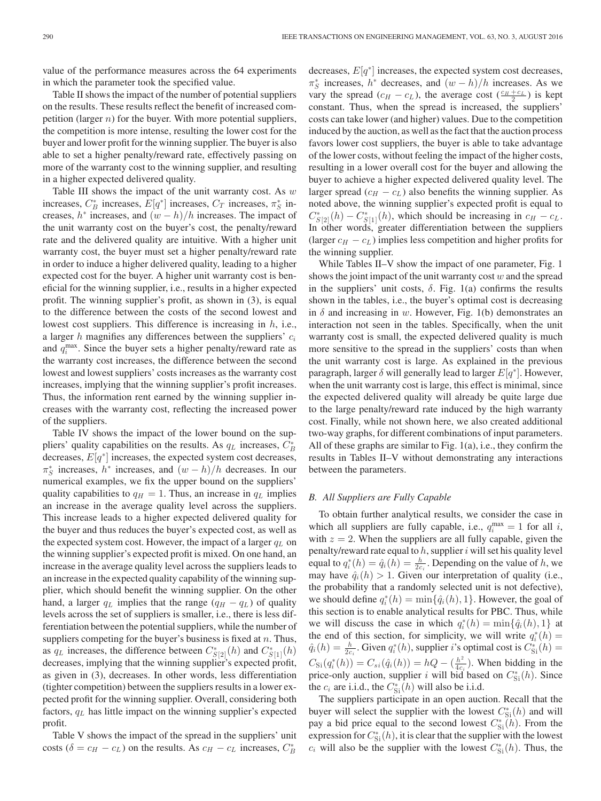value of the performance measures across the 64 experiments in which the parameter took the specified value.

Table II shows the impact of the number of potential suppliers on the results. These results reflect the benefit of increased competition (larger  $n$ ) for the buyer. With more potential suppliers, the competition is more intense, resulting the lower cost for the buyer and lower profit for the winning supplier. The buyer is also able to set a higher penalty/reward rate, effectively passing on more of the warranty cost to the winning supplier, and resulting in a higher expected delivered quality.

Table III shows the impact of the unit warranty cost. As  $w$ increases,  $C_B^*$  increases,  $E[q^*]$  increases,  $C_T$  increases,  $\pi_S^*$  increases,  $h^*$  increases, and  $(w - h)/h$  increases. The impact of the unit warranty cost on the buyer's cost, the penalty/reward rate and the delivered quality are intuitive. With a higher unit warranty cost, the buyer must set a higher penalty/reward rate in order to induce a higher delivered quality, leading to a higher expected cost for the buyer. A higher unit warranty cost is beneficial for the winning supplier, i.e., results in a higher expected profit. The winning supplier's profit, as shown in (3), is equal to the difference between the costs of the second lowest and lowest cost suppliers. This difference is increasing in  $h$ , i.e., a larger h magnifies any differences between the suppliers'  $c_i$ and  $q_i^{\text{max}}$ . Since the buyer sets a higher penalty/reward rate as the warranty cost increases, the difference between the second lowest and lowest suppliers' costs increases as the warranty cost increases, implying that the winning supplier's profit increases. Thus, the information rent earned by the winning supplier increases with the warranty cost, reflecting the increased power of the suppliers.

Table IV shows the impact of the lower bound on the suppliers' quality capabilities on the results. As  $q_L$  increases,  $C_B^*$ decreases,  $E[q^*]$  increases, the expected system cost decreases,  $\pi_S^*$  increases,  $h^*$  increases, and  $(w-h)/h$  decreases. In our numerical examples, we fix the upper bound on the suppliers' quality capabilities to  $q_H = 1$ . Thus, an increase in  $q_L$  implies an increase in the average quality level across the suppliers. This increase leads to a higher expected delivered quality for the buyer and thus reduces the buyer's expected cost, as well as the expected system cost. However, the impact of a larger  $q_L$  on the winning supplier's expected profit is mixed. On one hand, an increase in the average quality level across the suppliers leads to an increase in the expected quality capability of the winning supplier, which should benefit the winning supplier. On the other hand, a larger  $q_L$  implies that the range  $(q_H - q_L)$  of quality levels across the set of suppliers is smaller, i.e., there is less differentiation between the potential suppliers, while the number of suppliers competing for the buyer's business is fixed at  $n$ . Thus, as  $q_L$  increases, the difference between  $C_{S[2]}^*(h)$  and  $C_{S[1]}^*(h)$ decreases, implying that the winning supplier's expected profit, as given in (3), decreases. In other words, less differentiation (tighter competition) between the suppliers results in a lower expected profit for the winning supplier. Overall, considering both factors,  $q_L$  has little impact on the winning supplier's expected profit.

Table V shows the impact of the spread in the suppliers' unit costs ( $\delta = c_H - c_L$ ) on the results. As  $c_H - c_L$  increases,  $C_B^*$ 

decreases,  $E[q^*]$  increases, the expected system cost decreases,  $\pi_S^*$  increases,  $h^*$  decreases, and  $(w-h)/h$  increases. As we vary the spread  $(c_H - c_L)$ , the average cost  $(\frac{c_H + c_L}{2})$  is kept constant. Thus, when the spread is increased, the suppliers' costs can take lower (and higher) values. Due to the competition induced by the auction, as well as the fact that the auction process favors lower cost suppliers, the buyer is able to take advantage of the lower costs, without feeling the impact of the higher costs, resulting in a lower overall cost for the buyer and allowing the buyer to achieve a higher expected delivered quality level. The larger spread ( $c_H - c_L$ ) also benefits the winning supplier. As noted above, the winning supplier's expected profit is equal to  $C_{S[2]}^*(h) - C_{S[1]}^*(h)$ , which should be increasing in  $c_H - c_L$ . In other words, greater differentiation between the suppliers (larger  $c_H - c_L$ ) implies less competition and higher profits for the winning supplier.

While Tables II–V show the impact of one parameter, Fig. 1 shows the joint impact of the unit warranty cost  $w$  and the spread in the suppliers' unit costs,  $\delta$ . Fig. 1(a) confirms the results shown in the tables, i.e., the buyer's optimal cost is decreasing in  $\delta$  and increasing in w. However, Fig. 1(b) demonstrates an interaction not seen in the tables. Specifically, when the unit warranty cost is small, the expected delivered quality is much more sensitive to the spread in the suppliers' costs than when the unit warranty cost is large. As explained in the previous paragraph, larger  $\delta$  will generally lead to larger  $E[q^*]$ . However, when the unit warranty cost is large, this effect is minimal, since the expected delivered quality will already be quite large due to the large penalty/reward rate induced by the high warranty cost. Finally, while not shown here, we also created additional two-way graphs, for different combinations of input parameters. All of these graphs are similar to Fig. 1(a), i.e., they confirm the results in Tables II–V without demonstrating any interactions between the parameters.

#### *B. All Suppliers are Fully Capable*

To obtain further analytical results, we consider the case in which all suppliers are fully capable, i.e.,  $q_i^{\text{max}} = 1$  for all i, with  $z = 2$ . When the suppliers are all fully capable, given the penalty/reward rate equal to  $h$ , supplier  $i$  will set his quality level equal to  $q_i^*(h) = \hat{q}_i(h) = \frac{h}{2c_i}$ . Depending on the value of h, we may have  $\hat{q}_i(h) > 1$ . Given our interpretation of quality (i.e., the probability that a randomly selected unit is not defective), we should define  $q_i^*(h) = \min\{\hat{q}_i(h), 1\}$ . However, the goal of this section is to enable analytical results for PBC. Thus, while we will discuss the case in which  $q_i^*(h) = \min\{\hat{q}_i(h), 1\}$  at the end of this section, for simplicity, we will write  $q_i^*(h) =$  $\hat{q}_i(h) = \frac{h}{2c_i}$ . Given  $q_i^*(h)$ , supplier *i*'s optimal cost is  $C_{\text{Si}}^*(h) =$  $C_{\text{Si}}(q_i^*(h)) = C_{si}(q_i(h)) = hQ - (\frac{h^2}{4c_i})$ . When bidding in the price-only auction, supplier i will bid based on  $C_{\text{Si}}^{*}(h)$ . Since the  $c_i$  are i.i.d., the  $C_{\text{Si}}^*(h)$  will also be i.i.d.

The suppliers participate in an open auction. Recall that the buyer will select the supplier with the lowest  $C_{\text{Si}}^{*}(h)$  and will pay a bid price equal to the second lowest  $C_{\rm Si}^*(h)$ . From the expression for  $C_{\rm Si}^*(h)$ , it is clear that the supplier with the lowest  $c_i$  will also be the supplier with the lowest  $C_{\rm Si}^*(h)$ . Thus, the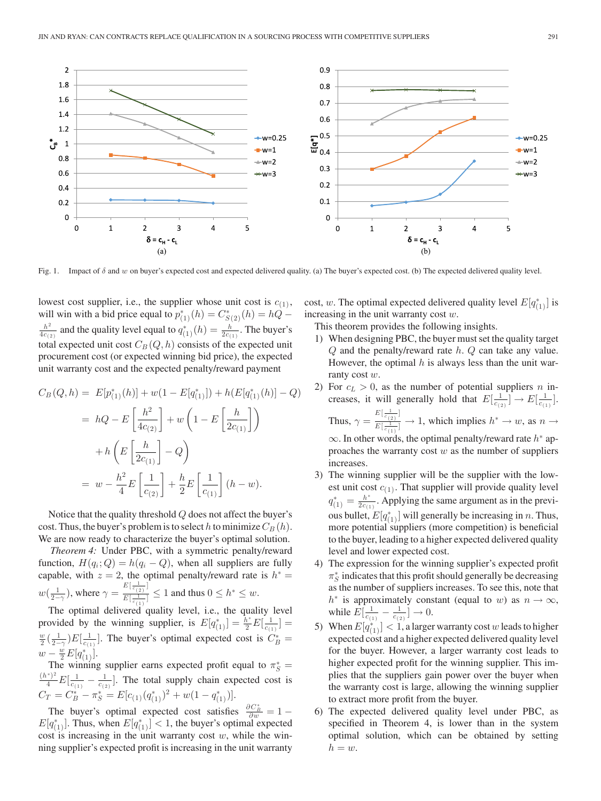

Fig. 1. Impact of  $\delta$  and w on buyer's expected cost and expected delivered quality. (a) The buyer's expected cost. (b) The expected delivered quality level.

lowest cost supplier, i.e., the supplier whose unit cost is  $c_{(1)}$ , will win with a bid price equal to  $p_{(1)}^*(h) = C^*_{S(2)}(h) = hQ \frac{h^2}{4c_{(2)}}$  and the quality level equal to  $q_{(1)}^*(h) = \frac{h}{2c_{(1)}}$ . The buyer's total expected unit cost  $C_B(Q, h)$  consists of the expected unit procurement cost (or expected winning bid price), the expected unit warranty cost and the expected penalty/reward payment

$$
C_B(Q, h) = E[p_{(1)}^*(h)] + w(1 - E[q_{(1)}^*]) + h(E[q_{(1)}^*(h)] - Q)
$$
  
=  $hQ - E\left[\frac{h^2}{4c_{(2)}}\right] + w\left(1 - E\left[\frac{h}{2c_{(1)}}\right]\right)$   
+  $h\left(E\left[\frac{h}{2c_{(1)}}\right] - Q\right)$   
=  $w - \frac{h^2}{4}E\left[\frac{1}{c_{(2)}}\right] + \frac{h}{2}E\left[\frac{1}{c_{(1)}}\right](h - w).$ 

Notice that the quality threshold Q does not affect the buyer's cost. Thus, the buyer's problem is to select h to minimize  $C_B(h)$ . We are now ready to characterize the buyer's optimal solution.

*Theorem 4:* Under PBC, with a symmetric penalty/reward function,  $H(q_i; Q) = h(q_i - Q)$ , when all suppliers are fully capable, with  $z = 2$ , the optimal penalty/reward rate is  $h^* =$  $w(\frac{1}{2-\gamma})$ , where  $\gamma = \frac{E[\frac{1}{c(2)}]}{E[\frac{1}{c(2)}]}$  $\frac{\frac{c}{c(2)}!}{E[\frac{1}{c(1)}]} \leq 1$  and thus  $0 \leq h^* \leq w$ .

The optimal delivered quality level, i.e., the quality level provided by the winning supplier, is  $E[q_{(1)}^*] = \frac{\bar{h}^*}{2} E[\frac{1}{c_{(1)}}] =$  $\frac{w}{2}(\frac{1}{2-\gamma})E[\frac{1}{c_{(1)}}]$ . The buyer's optimal expected cost is  $C_B^*$  =  $w - \frac{w}{2} E[q^*_{(1)}].$ 

The winning supplier earns expected profit equal to  $\pi_S^*$  = The winning supplier earns expected profit equal to  $\pi_S^* = (h^*)^2 E_1^{-1}$  and the total supply obein expected goat is  $\frac{f^{*}}{4}E[\frac{1}{c_{(1)}}-\frac{1}{c_{(2)}}]$ . The total supply chain expected cost is  $C_T = C_B^* - \pi_S^* = E[c_{(1)}(q_{(1)}^*)^2 + w(1-q_{(1)}^*)].$ 

The buyer's optimal expected cost satisfies  $\frac{\partial C_B^*}{\partial w} = 1 E[q^*_{(1)}]$ . Thus, when  $E[q^*_{(1)}] < 1$ , the buyer's optimal expected cost is increasing in the unit warranty cost  $w$ , while the winning supplier's expected profit is increasing in the unit warranty

cost, w. The optimal expected delivered quality level  $E[q^*_{(1)}]$  is increasing in the unit warranty cost  $w$ .

This theorem provides the following insights.

- 1) When designing PBC, the buyer must set the quality target  $Q$  and the penalty/reward rate  $h$ .  $Q$  can take any value. However, the optimal  $h$  is always less than the unit warranty cost w.
- 2) For  $c_l > 0$ , as the number of potential suppliers n increases, it will generally hold that  $E[\frac{1}{c_{(2)}}] \to E[\frac{1}{c_{(1)}}]$ . Thus,  $\gamma = \frac{E[\frac{1}{c(2)}]}{E[\frac{1}{c(1)}]}$  $\frac{\binom{1}{c}(2)^1}{E[\frac{1}{c}(1)]} \to 1$ , which implies  $h^* \to w$ , as  $n \to \infty$  $\infty$ . In other words, the optimal penalty/reward rate  $h^*$  approaches the warranty cost  $w$  as the number of suppliers increases.
- 3) The winning supplier will be the supplier with the lowest unit cost  $c_{(1)}$ . That supplier will provide quality level  $q_{(1)}^* = \frac{h^*}{2c_{(1)}}$ . Applying the same argument as in the previous bullet,  $E[q_{(1)}^*]$  will generally be increasing in *n*. Thus, more potential suppliers (more competition) is beneficial to the buyer, leading to a higher expected delivered quality level and lower expected cost.
- 4) The expression for the winning supplier's expected profit  $\pi_S^*$  indicates that this profit should generally be decreasing as the number of suppliers increases. To see this, note that  $h^*$  is approximately constant (equal to w) as  $n \to \infty$ , while  $E[\frac{1}{c_{(1)}} - \frac{1}{c_{(2)}}] \to 0$ .
- 5) When  $E[q_{(1)}^*] < 1$ , a larger warranty cost w leads to higher expected cost and a higher expected delivered quality level for the buyer. However, a larger warranty cost leads to higher expected profit for the winning supplier. This implies that the suppliers gain power over the buyer when the warranty cost is large, allowing the winning supplier to extract more profit from the buyer.
- 6) The expected delivered quality level under PBC, as specified in Theorem 4, is lower than in the system optimal solution, which can be obtained by setting  $h = w$ .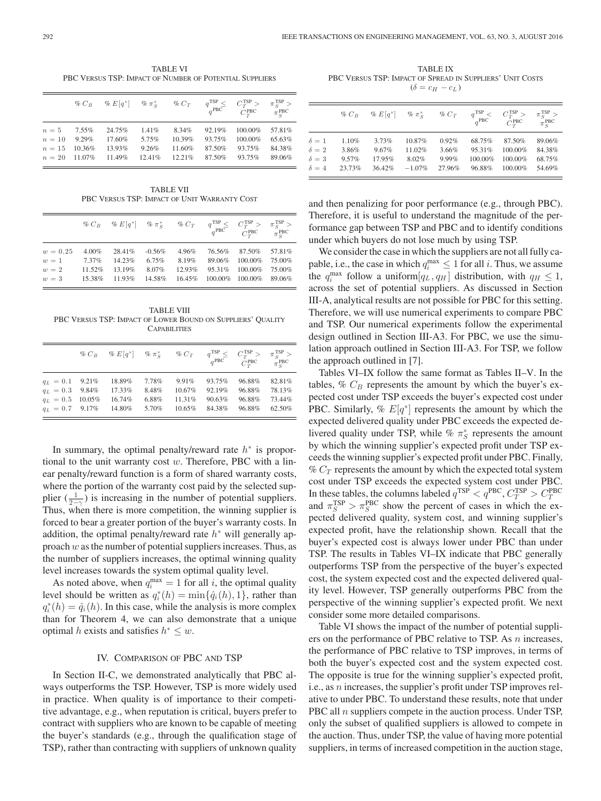TABLE VI PBC VERSUS TSP: IMPACT OF NUMBER OF POTENTIAL SUPPLIERS

|                 | $\%$ $C_B$ | $\% E[q^*]$ % $\pi_S^*$ % $C_T$ $q^{\text{TSP}}$ $\leq$ $q^{\text{PBC}}$ |          |        |        | $C_T^{\text{TSP}} >$<br>$C_T^{\text{PBC}}$ $\pi_c^{\text{PBC}}$ | $\pi_S^{\rm TSP} >$ |
|-----------------|------------|--------------------------------------------------------------------------|----------|--------|--------|-----------------------------------------------------------------|---------------------|
| $n=5$           | 7.55%      | 24.75%                                                                   | $1.41\%$ | 8.34%  | 92.19% | 100.00%                                                         | 57.81%              |
| $n=10$          | $9.29\%$   | 17.60%                                                                   | 5.75%    | 10.39% | 93.75% | 100.00%                                                         | 65.63%              |
| $n=15$          | 10.36%     | 13.93%                                                                   | 9.26%    | 11.60% | 87.50% | 93.75%                                                          | 84.38%              |
| $n = 20$ 11.07% |            | 11.49%                                                                   | 12.41%   | 12.21% | 87.50% | 93.75%                                                          | 89.06%              |

TABLE VII PBC VERSUS TSP: IMPACT OF UNIT WARRANTY COST

|               |          | $\% C_B \quad \% E[q^*] \quad \% \pi_S^* \qquad \% C_T \qquad q^{\text{TSP}} \leq \quad C^{\text{TSP}}_{T} > \quad \pi_S^{\text{TSP}} > \newline q^{\text{PBC}} \qquad Q^{\text{PBC}}_{T} \qquad \pi_{P}^{\text{RBC}}$ |           |        |         | $C_T^{\text{PBC}}$ $\pi_S^{\text{PBC}}$ |        |
|---------------|----------|------------------------------------------------------------------------------------------------------------------------------------------------------------------------------------------------------------------------|-----------|--------|---------|-----------------------------------------|--------|
| $w = 0.25$    | $4.00\%$ | 28.41%                                                                                                                                                                                                                 | $-0.56\%$ | 4.96%  | 76.56%  | 87.50% 57.81%                           |        |
| $w = 1$ 7.37% |          | 14.23%                                                                                                                                                                                                                 | 6.75%     | 8.19%  | 89.06%  | 100.00%                                 | 75.00% |
| $w=2$         | 11.52%   | 13.19%                                                                                                                                                                                                                 | 8.07%     | 12.93% | 95.31\% | 100.00%                                 | 75.00% |
| $w=3$         | 15.38%   | 11.93%                                                                                                                                                                                                                 | 14.58%    | 16.45% |         | 100.00% 100.00% 89.06%                  |        |

TABLE VIII PBC VERSUS TSP: IMPACT OF LOWER BOUND ON SUPPLIERS' QUALITY **CAPABILITIES** 

|                           | $\% C_B$ $\% E[q^*]$ $\% \pi_s^*$ $\% C_T$ $q^{TSP}$ $\leq$ |       |        | $q^{PBC}$ | $C_{T}^{TSP} >$<br>$C_T^{\text{PBC}}$ | $\pi_c^{\rm TSP}$ ><br>$\pi_{c}^{\text{PBC}}$ |
|---------------------------|-------------------------------------------------------------|-------|--------|-----------|---------------------------------------|-----------------------------------------------|
| $q_L = 0.1$ 9.21%         | 18.89%                                                      | 7.78% | 9.91%  | 93.75%    | 96.88%                                | 82.81%                                        |
| $q_L = 0.3$ 9.84%         | 17.33%                                                      | 8.48% | 10.67% | 92.19%    | 96.88%                                | 78.13%                                        |
| $q_L = 0.5 \quad 10.05\%$ | 16.74%                                                      | 6.88% | 11.31% | 90.63%    | 96.88%                                | 73.44%                                        |
| $q_L = 0.7$ 9.17%         | 14.80%                                                      | 5.70% | 10.65% | 84.38%    | 96.88%                                | 62.50%                                        |

In summary, the optimal penalty/reward rate  $h^*$  is proportional to the unit warranty cost  $w$ . Therefore, PBC with a linear penalty/reward function is a form of shared warranty costs, where the portion of the warranty cost paid by the selected supplier  $(\frac{1}{2-\gamma})$  is increasing in the number of potential suppliers. Thus, when there is more competition, the winning supplier is forced to bear a greater portion of the buyer's warranty costs. In addition, the optimal penalty/reward rate  $h^*$  will generally approach  $w$  as the number of potential suppliers increases. Thus, as the number of suppliers increases, the optimal winning quality level increases towards the system optimal quality level.

As noted above, when  $q_i^{\text{max}} = 1$  for all i, the optimal quality level should be written as  $q_i^*(h) = \min\{\hat{q}_i(h), 1\}$ , rather than  $q_i^*(h) = \hat{q}_i(h)$ . In this case, while the analysis is more complex than for Theorem 4, we can also demonstrate that a unique optimal h exists and satisfies  $h^* \leq w$ .

#### IV. COMPARISON OF PBC AND TSP

In Section II-C, we demonstrated analytically that PBC always outperforms the TSP. However, TSP is more widely used in practice. When quality is of importance to their competitive advantage, e.g., when reputation is critical, buyers prefer to contract with suppliers who are known to be capable of meeting the buyer's standards (e.g., through the qualification stage of TSP), rather than contracting with suppliers of unknown quality

TABLE IX PBC VERSUS TSP: IMPACT OF SPREAD IN SUPPLIERS' UNIT COSTS  $(\delta = c_H - c_L)$ 

|              | $\%$ $C_R$ | % $E[q^*]$ | $\% \pi_{S}^{*}$ | $\%$ $C_T$ | $q^{TSP}$ <<br>$q^{PBC}$ | $C_T^{\text{ISP}} >$<br>$C_{T}^{\text{PBC}}$ | $\pi_{S}^{TSP}$ ><br>$\pi_{S}^{\text{PBC}}$ |
|--------------|------------|------------|------------------|------------|--------------------------|----------------------------------------------|---------------------------------------------|
| $\delta = 1$ | 1.10%      | 3.73%      | 10.87%           | 0.92%      | 68.75%                   | 87.50%                                       | 89.06%                                      |
| $\delta=2$   | 3.86%      | 9.67%      | 11.02%           | 3.66%      | 95.31%                   | 100.00%                                      | 84.38%                                      |
| $\delta=3$   | 9.57%      | 17.95%     | 8.02%            | 9.99%      | $100.00\%$               | $100.00\%$                                   | 68.75%                                      |
| $\delta = 4$ | 23.73%     | 36.42%     | $-1.07%$         | 27.96%     | 96.88%                   | 100.00%                                      | 54.69%                                      |

and then penalizing for poor performance (e.g., through PBC). Therefore, it is useful to understand the magnitude of the performance gap between TSP and PBC and to identify conditions under which buyers do not lose much by using TSP.

We consider the case in which the suppliers are not all fully capable, i.e., the case in which  $q_i^{\max} \leq 1$  for all *i*. Thus, we assume the  $q_i^{\max}$  follow a uniform  $[q_L, q_H]$  distribution, with  $q_H \leq 1$ , across the set of potential suppliers. As discussed in Section III-A, analytical results are not possible for PBC for this setting. Therefore, we will use numerical experiments to compare PBC and TSP. Our numerical experiments follow the experimental design outlined in Section III-A3. For PBC, we use the simulation approach outlined in Section III-A3. For TSP, we follow the approach outlined in [7].

Tables VI–IX follow the same format as Tables II–V. In the tables,  $\%$   $C_B$  represents the amount by which the buyer's expected cost under TSP exceeds the buyer's expected cost under PBC. Similarly, %  $E[q^*]$  represents the amount by which the expected delivered quality under PBC exceeds the expected delivered quality under TSP, while %  $\pi_S^*$  represents the amount by which the winning supplier's expected profit under TSP exceeds the winning supplier's expected profit under PBC. Finally,  $\%$   $C_T$  represents the amount by which the expected total system cost under TSP exceeds the expected system cost under PBC. In these tables, the columns labeled  $q^{TSP} < q^{PBC}$ ,  $C_T^{TSP} > C_T^{PBC}$ and  $\pi_S^{TSP} > \pi_S^{PBC}$  show the percent of cases in which the expected delivered quality, system cost, and winning supplier's expected profit, have the relationship shown. Recall that the buyer's expected cost is always lower under PBC than under TSP. The results in Tables VI–IX indicate that PBC generally outperforms TSP from the perspective of the buyer's expected cost, the system expected cost and the expected delivered quality level. However, TSP generally outperforms PBC from the perspective of the winning supplier's expected profit. We next consider some more detailed comparisons.

Table VI shows the impact of the number of potential suppliers on the performance of PBC relative to TSP. As *n* increases, the performance of PBC relative to TSP improves, in terms of both the buyer's expected cost and the system expected cost. The opposite is true for the winning supplier's expected profit, i.e., as n increases, the supplier's profit under TSP improves relative to under PBC. To understand these results, note that under PBC all  $n$  suppliers compete in the auction process. Under TSP, only the subset of qualified suppliers is allowed to compete in the auction. Thus, under TSP, the value of having more potential suppliers, in terms of increased competition in the auction stage,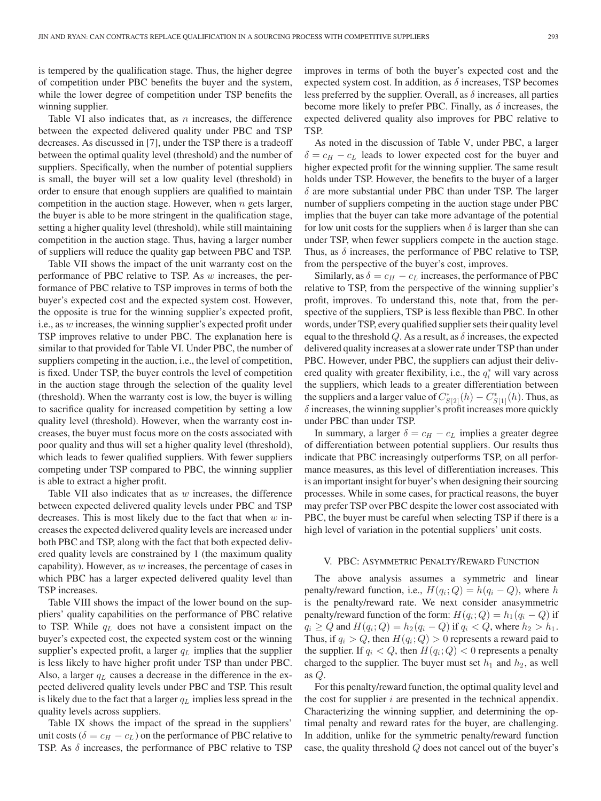is tempered by the qualification stage. Thus, the higher degree of competition under PBC benefits the buyer and the system, while the lower degree of competition under TSP benefits the winning supplier.

Table VI also indicates that, as  $n$  increases, the difference between the expected delivered quality under PBC and TSP decreases. As discussed in [7], under the TSP there is a tradeoff between the optimal quality level (threshold) and the number of suppliers. Specifically, when the number of potential suppliers is small, the buyer will set a low quality level (threshold) in order to ensure that enough suppliers are qualified to maintain competition in the auction stage. However, when  $n$  gets larger, the buyer is able to be more stringent in the qualification stage, setting a higher quality level (threshold), while still maintaining competition in the auction stage. Thus, having a larger number of suppliers will reduce the quality gap between PBC and TSP.

Table VII shows the impact of the unit warranty cost on the performance of PBC relative to TSP. As w increases, the performance of PBC relative to TSP improves in terms of both the buyer's expected cost and the expected system cost. However, the opposite is true for the winning supplier's expected profit, i.e., as w increases, the winning supplier's expected profit under TSP improves relative to under PBC. The explanation here is similar to that provided for Table VI. Under PBC, the number of suppliers competing in the auction, i.e., the level of competition, is fixed. Under TSP, the buyer controls the level of competition in the auction stage through the selection of the quality level (threshold). When the warranty cost is low, the buyer is willing to sacrifice quality for increased competition by setting a low quality level (threshold). However, when the warranty cost increases, the buyer must focus more on the costs associated with poor quality and thus will set a higher quality level (threshold), which leads to fewer qualified suppliers. With fewer suppliers competing under TSP compared to PBC, the winning supplier is able to extract a higher profit.

Table VII also indicates that as  $w$  increases, the difference between expected delivered quality levels under PBC and TSP decreases. This is most likely due to the fact that when  $w$  increases the expected delivered quality levels are increased under both PBC and TSP, along with the fact that both expected delivered quality levels are constrained by 1 (the maximum quality capability). However, as  $w$  increases, the percentage of cases in which PBC has a larger expected delivered quality level than TSP increases.

Table VIII shows the impact of the lower bound on the suppliers' quality capabilities on the performance of PBC relative to TSP. While  $q_L$  does not have a consistent impact on the buyer's expected cost, the expected system cost or the winning supplier's expected profit, a larger  $q_L$  implies that the supplier is less likely to have higher profit under TSP than under PBC. Also, a larger  $q_L$  causes a decrease in the difference in the expected delivered quality levels under PBC and TSP. This result is likely due to the fact that a larger  $q_L$  implies less spread in the quality levels across suppliers.

Table IX shows the impact of the spread in the suppliers' unit costs ( $\delta = c_H - c_L$ ) on the performance of PBC relative to TSP. As  $\delta$  increases, the performance of PBC relative to TSP improves in terms of both the buyer's expected cost and the expected system cost. In addition, as  $\delta$  increases, TSP becomes less preferred by the supplier. Overall, as  $\delta$  increases, all parties become more likely to prefer PBC. Finally, as  $\delta$  increases, the expected delivered quality also improves for PBC relative to TSP.

As noted in the discussion of Table V, under PBC, a larger  $\delta = c_H - c_L$  leads to lower expected cost for the buyer and higher expected profit for the winning supplier. The same result holds under TSP. However, the benefits to the buyer of a larger  $\delta$  are more substantial under PBC than under TSP. The larger number of suppliers competing in the auction stage under PBC implies that the buyer can take more advantage of the potential for low unit costs for the suppliers when  $\delta$  is larger than she can under TSP, when fewer suppliers compete in the auction stage. Thus, as  $\delta$  increases, the performance of PBC relative to TSP, from the perspective of the buyer's cost, improves.

Similarly, as  $\delta = c_H - c_L$  increases, the performance of PBC relative to TSP, from the perspective of the winning supplier's profit, improves. To understand this, note that, from the perspective of the suppliers, TSP is less flexible than PBC. In other words, under TSP, every qualified supplier sets their quality level equal to the threshold Q. As a result, as  $\delta$  increases, the expected delivered quality increases at a slower rate under TSP than under PBC. However, under PBC, the suppliers can adjust their delivered quality with greater flexibility, i.e., the  $q_i^*$  will vary across the suppliers, which leads to a greater differentiation between the suppliers and a larger value of  $C^*_{S[2]}(h) - C^*_{S[1]}(h)$ . Thus, as  $\delta$  increases, the winning supplier's profit increases more quickly under PBC than under TSP.

In summary, a larger  $\delta = c_H - c_L$  implies a greater degree of differentiation between potential suppliers. Our results thus indicate that PBC increasingly outperforms TSP, on all performance measures, as this level of differentiation increases. This is an important insight for buyer's when designing their sourcing processes. While in some cases, for practical reasons, the buyer may prefer TSP over PBC despite the lower cost associated with PBC, the buyer must be careful when selecting TSP if there is a high level of variation in the potential suppliers' unit costs.

#### V. PBC: ASYMMETRIC PENALTY/REWARD FUNCTION

The above analysis assumes a symmetric and linear penalty/reward function, i.e.,  $H(q_i; Q) = h(q_i - Q)$ , where h is the penalty/reward rate. We next consider anasymmetric penalty/reward function of the form:  $H(q_i; Q) = h_1(q_i - Q)$  if  $q_i \ge Q$  and  $H(q_i; Q) = h_2(q_i - Q)$  if  $q_i < Q$ , where  $h_2 > h_1$ . Thus, if  $q_i > Q$ , then  $H(q_i; Q) > 0$  represents a reward paid to the supplier. If  $q_i < Q$ , then  $H(q_i; Q) < 0$  represents a penalty charged to the supplier. The buyer must set  $h_1$  and  $h_2$ , as well as Q.

For this penalty/reward function, the optimal quality level and the cost for supplier  $i$  are presented in the technical appendix. Characterizing the winning supplier, and determining the optimal penalty and reward rates for the buyer, are challenging. In addition, unlike for the symmetric penalty/reward function case, the quality threshold Q does not cancel out of the buyer's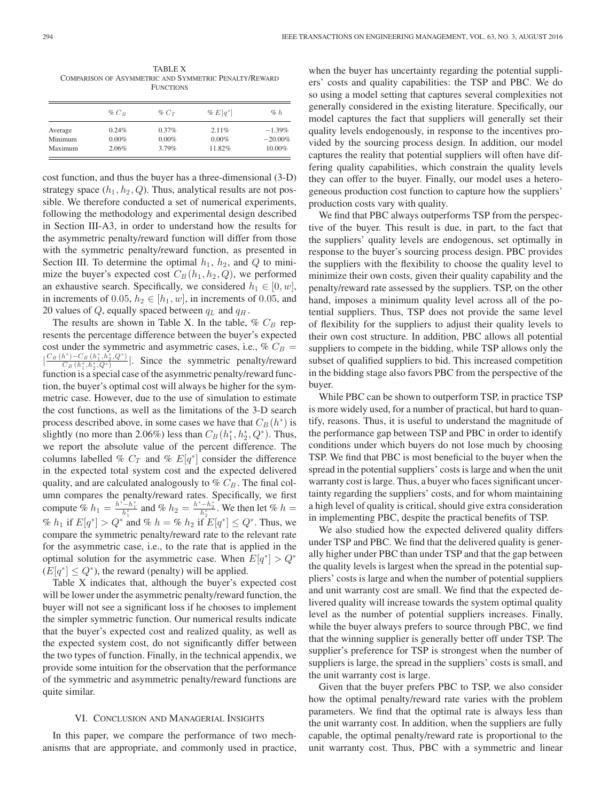TABLE X COMPARISON OF ASYMMETRIC AND SYMMETRIC PENALTY/REWARD **FUNCTIONS** 

|         | $\%$ $C_R$ | $\%$ $C_T$ | $\% E[q^*]$ | $\%$ h    |
|---------|------------|------------|-------------|-----------|
| Average | 0.24%      | 0.37%      | 2.11%       | $-1.39\%$ |
| Minimum | $0.00\%$   | $0.00\%$   | $0.00\%$    | $-20.00%$ |
| Maximum | 2.06%      | 3.79%      | 11.82%      | 10.00%    |

cost function, and thus the buyer has a three-dimensional (3-D) strategy space  $(h_1, h_2, Q)$ . Thus, analytical results are not possible. We therefore conducted a set of numerical experiments, following the methodology and experimental design described in Section III-A3, in order to understand how the results for the asymmetric penalty/reward function will differ from those with the symmetric penalty/reward function, as presented in Section III. To determine the optimal  $h_1$ ,  $h_2$ , and  $Q$  to minimize the buyer's expected cost  $C_B(h_1, h_2, Q)$ , we performed an exhaustive search. Specifically, we considered  $h_1 \in [0, w]$ , in increments of 0.05,  $h_2 \in [h_1, w]$ , in increments of 0.05, and 20 values of  $Q$ , equally spaced between  $q_L$  and  $q_H$ .

The results are shown in Table X. In the table,  $\%$   $C_B$  represents the percentage difference between the buyer's expected cost under the symmetric and asymmetric cases, i.e., %  $C_B =$  $\left|\frac{C_B(h^*)-C_B(h_1^*,h_2^*,Q^*)}{C_B(h_1^*,h_2^*,Q^*)}\right|$ . Since the symmetric penalty/reward function is a special case of the asymmetric penalty/reward function, the buyer's optimal cost will always be higher for the symmetric case. However, due to the use of simulation to estimate the cost functions, as well as the limitations of the 3-D search process described above, in some cases we have that  $C_B(h^*)$  is slightly (no more than 2.06%) less than  $C_B(h_1^*, h_2^*, Q^*)$ . Thus, we report the absolute value of the percent difference. The columns labelled %  $C_T$  and %  $E[q^*]$  consider the difference in the expected total system cost and the expected delivered quality, and are calculated analogously to  $\%$   $C_B$ . The final column compares the penalty/reward rates. Specifically, we first compute %  $h_1 = \frac{h^* - h_1^*}{h_1^*}$  and %  $h_2 = \frac{h^* - h_2^*}{h_2^*}$ . We then let %  $h =$ %  $h_1$  if  $E[q^*] > Q^*$  and %  $h = \mathcal{N}$   $h_2$  if  $E[q^*] \leq Q^*$ . Thus, we compare the symmetric penalty/reward rate to the relevant rate for the asymmetric case, i.e., to the rate that is applied in the optimal solution for the asymmetric case. When  $E[q^*] > Q^*$  $(E[q^*] \leq Q^*),$  the reward (penalty) will be applied.

Table X indicates that, although the buyer's expected cost will be lower under the asymmetric penalty/reward function, the buyer will not see a significant loss if he chooses to implement the simpler symmetric function. Our numerical results indicate that the buyer's expected cost and realized quality, as well as the expected system cost, do not significantly differ between the two types of function. Finally, in the technical appendix, we provide some intuition for the observation that the performance of the symmetric and asymmetric penalty/reward functions are quite similar.

#### VI. CONCLUSION AND MANAGERIAL INSIGHTS

In this paper, we compare the performance of two mechanisms that are appropriate, and commonly used in practice, when the buyer has uncertainty regarding the potential suppliers' costs and quality capabilities: the TSP and PBC. We do so using a model setting that captures several complexities not generally considered in the existing literature. Specifically, our model captures the fact that suppliers will generally set their quality levels endogenously, in response to the incentives provided by the sourcing process design. In addition, our model captures the reality that potential suppliers will often have differing quality capabilities, which constrain the quality levels they can offer to the buyer. Finally, our model uses a heterogeneous production cost function to capture how the suppliers' production costs vary with quality.

We find that PBC always outperforms TSP from the perspective of the buyer. This result is due, in part, to the fact that the suppliers' quality levels are endogenous, set optimally in response to the buyer's sourcing process design. PBC provides the suppliers with the flexibility to choose the quality level to minimize their own costs, given their quality capability and the penalty/reward rate assessed by the suppliers. TSP, on the other hand, imposes a minimum quality level across all of the potential suppliers. Thus, TSP does not provide the same level of flexibility for the suppliers to adjust their quality levels to their own cost structure. In addition, PBC allows all potential suppliers to compete in the bidding, while TSP allows only the subset of qualified suppliers to bid. This increased competition in the bidding stage also favors PBC from the perspective of the buyer.

While PBC can be shown to outperform TSP, in practice TSP is more widely used, for a number of practical, but hard to quantify, reasons. Thus, it is useful to understand the magnitude of the performance gap between TSP and PBC in order to identify conditions under which buyers do not lose much by choosing TSP. We find that PBC is most beneficial to the buyer when the spread in the potential suppliers' costs is large and when the unit warranty cost is large. Thus, a buyer who faces significant uncertainty regarding the suppliers' costs, and for whom maintaining a high level of quality is critical, should give extra consideration in implementing PBC, despite the practical benefits of TSP.

We also studied how the expected delivered quality differs under TSP and PBC. We find that the delivered quality is generally higher under PBC than under TSP and that the gap between the quality levels is largest when the spread in the potential suppliers' costs is large and when the number of potential suppliers and unit warranty cost are small. We find that the expected delivered quality will increase towards the system optimal quality level as the number of potential suppliers increases. Finally, while the buyer always prefers to source through PBC, we find that the winning supplier is generally better off under TSP. The supplier's preference for TSP is strongest when the number of suppliers is large, the spread in the suppliers' costs is small, and the unit warranty cost is large.

Given that the buyer prefers PBC to TSP, we also consider how the optimal penalty/reward rate varies with the problem parameters. We find that the optimal rate is always less than the unit warranty cost. In addition, when the suppliers are fully capable, the optimal penalty/reward rate is proportional to the unit warranty cost. Thus, PBC with a symmetric and linear